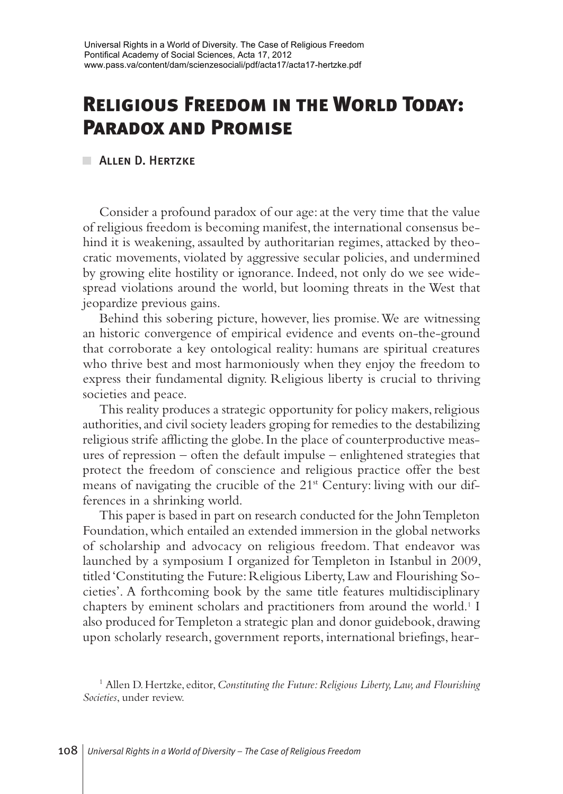# **Religious Freedom in the World Today: Paradox and Promise**

**ALLEN D. HERTZKE** 

Consider a profound paradox of our age: at the very time that the value of religious freedom is becoming manifest, the international consensus behind it is weakening, assaulted by authoritarian regimes, attacked by theocratic movements, violated by aggressive secular policies, and undermined by growing elite hostility or ignorance. Indeed, not only do we see widespread violations around the world, but looming threats in the West that jeopardize previous gains.

Behind this sobering picture, however, lies promise. We are witnessing an historic convergence of empirical evidence and events on-the-ground that corroborate a key ontological reality: humans are spiritual creatures who thrive best and most harmoniously when they enjoy the freedom to express their fundamental dignity. Religious liberty is crucial to thriving societies and peace.

This reality produces a strategic opportunity for policy makers, religious authorities, and civil society leaders groping for remedies to the destabilizing religious strife afflicting the globe. In the place of counterproductive measures of repression – often the default impulse – enlightened strategies that protect the freedom of conscience and religious practice offer the best means of navigating the crucible of the 21<sup>st</sup> Century: living with our differences in a shrinking world.

This paper is based in part on research conducted for the John Templeton Foundation, which entailed an extended immersion in the global networks of scholarship and advocacy on religious freedom. That endeavor was launched by a symposium I organized for Templeton in Istanbul in 2009, titled 'Constituting the Future: Religious Liberty, Law and Flourishing Societies'. A forthcoming book by the same title features multidisciplinary chapters by eminent scholars and practitioners from around the world.<sup>1</sup> I also produced for Templeton a strategic plan and donor guidebook, drawing upon scholarly research, government reports, international briefings, hear-

<sup>1</sup> Allen D. Hertzke, editor, *Constituting the Future: Religious Liberty, Law, and Flourishing Societies*, under review.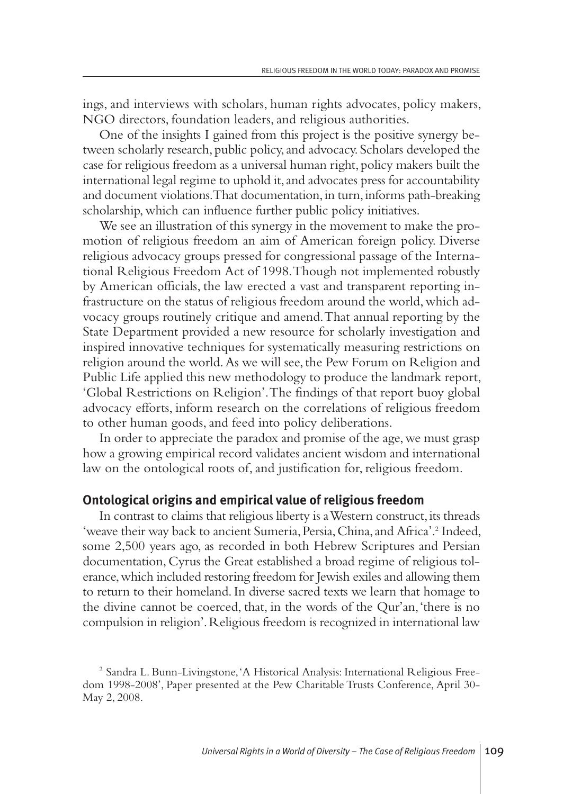ings, and interviews with scholars, human rights advocates, policy makers, NGO directors, foundation leaders, and religious authorities.

One of the insights I gained from this project is the positive synergy between scholarly research, public policy,and advocacy. Scholars developed the case for religious freedom as a universal human right, policy makers built the international legal regime to uphold it, and advocates press for accountability and document violations. That documentation, in turn, informs path-breaking scholarship, which can influence further public policy initiatives.

We see an illustration of this synergy in the movement to make the promotion of religious freedom an aim of American foreign policy. Diverse religious advocacy groups pressed for congressional passage of the International Religious Freedom Act of 1998.Though not implemented robustly by American officials, the law erected a vast and transparent reporting infrastructure on the status of religious freedom around the world,which advocacy groups routinely critique and amend.That annual reporting by the State Department provided a new resource for scholarly investigation and inspired innovative techniques for systematically measuring restrictions on religion around the world.As we will see,the Pew Forum on Religion and Public Life applied this new methodology to produce the landmark report, 'Global Restrictions on Religion'.The findings of that report buoy global advocacy efforts, inform research on the correlations of religious freedom to other human goods,and feed into policy deliberations.

In order to appreciate the paradox and promise of the age,we must grasp how a growing empirical record validates ancient wisdom and international law on the ontological roots of, and justification for, religious freedom.

#### **Ontological origins and empirical value of religious freedom**

In contrast to claims that religious liberty is a Western construct, its threads 'weave their way back to ancient Sumeria,Persia,China,and Africa'. <sup>2</sup> Indeed, some 2,500 years ago, as recorded in both Hebrew Scriptures and Persian documentation, Cyrus the Great established a broad regime of religious tolerance,which included restoring freedom for Jewish exiles and allowing them to return to their homeland.In diverse sacred texts we learn that homage to the divine cannot be coerced, that, in the words of the Qur'an,'there is no compulsion in religion'.Religious freedom is recognized in international law

<sup>2</sup> Sandra L. Bunn-Livingstone,'A Historical Analysis: International Religious Freedom 1998-2008', Paper presented at the Pew Charitable Trusts Conference, April 30- May 2, 2008.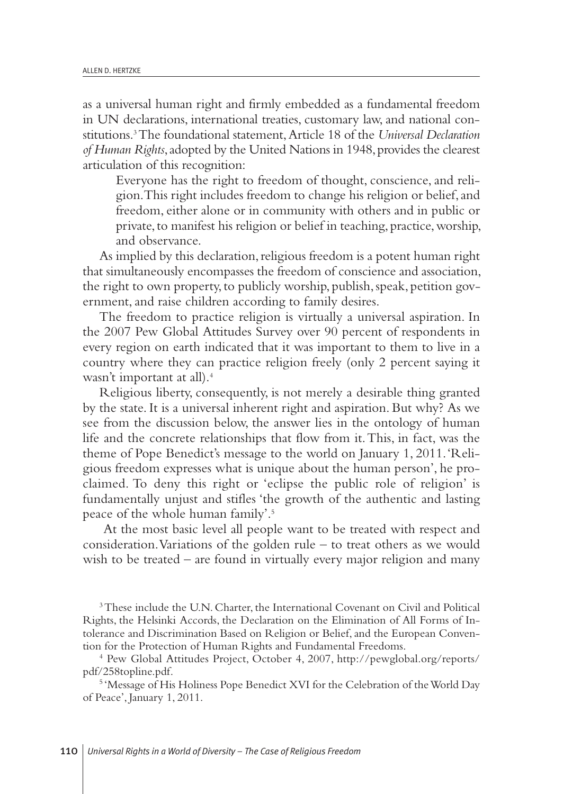as a universal human right and firmly embedded as a fundamental freedom in UN declarations, international treaties, customary law,and national constitutions. 3The foundational statement,Article 18 of the *Universal Declaration of Human Rights*, adopted by the United Nations in 1948, provides the clearest articulation of this recognition:

Everyone has the right to freedom of thought, conscience, and religion.This right includes freedom to change his religion or belief,and freedom, either alone or in community with others and in public or private,to manifest his religion or belief in teaching, practice,worship, and observance.

As implied by this declaration, religious freedom is a potent human right that simultaneously encompasses the freedom of conscience and association, the right to own property, to publicly worship, publish, speak, petition government, and raise children according to family desires.

The freedom to practice religion is virtually a universal aspiration. In the 2007 Pew Global Attitudes Survey over 90 percent of respondents in every region on earth indicated that it was important to them to live in a country where they can practice religion freely (only 2 percent saying it wasn't important at all). 4

Religious liberty, consequently, is not merely a desirable thing granted by the state. It is a universal inherent right and aspiration. But why? As we see from the discussion below, the answer lies in the ontology of human life and the concrete relationships that flow from it.This, in fact, was the theme of Pope Benedict's message to the world on January 1, 2011.'Religious freedom expresses what is unique about the human person', he proclaimed. To deny this right or 'eclipse the public role of religion' is fundamentally unjust and stifles 'the growth of the authentic and lasting peace of the whole human family'. 5

At the most basic level all people want to be treated with respect and consideration.Variations of the golden rule – to treat others as we would wish to be treated – are found in virtually every major religion and many

3These include the U.N. Charter, the International Covenant on Civil and Political Rights, the Helsinki Accords, the Declaration on the Elimination of All Forms of Intolerance and Discrimination Based on Religion or Belief, and the European Convention for the Protection of Human Rights and Fundamental Freedoms.

<sup>4</sup> Pew Global Attitudes Project, October 4, 2007, http://pewglobal.org/reports/ pdf/258topline.pdf.

<sup>5</sup> 'Message of His Holiness Pope Benedict XVI for the Celebration of the World Day of Peace', January 1, 2011.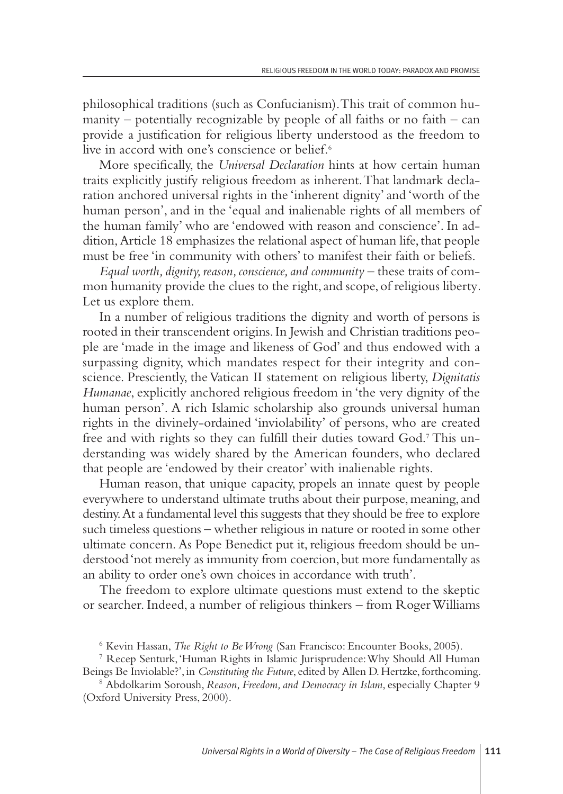philosophical traditions (such as Confucianism).This trait of common humanity – potentially recognizable by people of all faiths or no faith – can provide a justification for religious liberty understood as the freedom to live in accord with one's conscience or belief. 6

More specifically, the *Universal Declaration* hints at how certain human traits explicitly justify religious freedom as inherent.That landmark declaration anchored universal rights in the 'inherent dignity'and 'worth of the human person', and in the 'equal and inalienable rights of all members of the human family' who are 'endowed with reason and conscience'. In addition, Article 18 emphasizes the relational aspect of human life, that people must be free 'in community with others' to manifest their faith or beliefs.

*Equal worth, dignity, reason, conscience, and community – these traits of com*mon humanity provide the clues to the right, and scope, of religious liberty. Let us explore them.

In a number of religious traditions the dignity and worth of persons is rooted in their transcendent origins.In Jewish and Christian traditions people are 'made in the image and likeness of God'and thus endowed with a surpassing dignity, which mandates respect for their integrity and conscience. Presciently, the Vatican II statement on religious liberty, *Dignitatis Humanae*, explicitly anchored religious freedom in 'the very dignity of the human person'. A rich Islamic scholarship also grounds universal human rights in the divinely-ordained 'inviolability' of persons, who are created free and with rights so they can fulfill their duties toward God. <sup>7</sup> This understanding was widely shared by the American founders, who declared that people are 'endowed by their creator' with inalienable rights.

Human reason, that unique capacity, propels an innate quest by people everywhere to understand ultimate truths about their purpose, meaning, and destiny.At a fundamental level this suggests that they should be free to explore such timeless questions – whether religious in nature or rooted in some other ultimate concern. As Pope Benedict put it, religious freedom should be understood 'not merely as immunity from coercion, but more fundamentally as an ability to order one's own choices in accordance with truth'.

The freedom to explore ultimate questions must extend to the skeptic or searcher. Indeed,a number of religious thinkers – from RogerWilliams

<sup>6</sup> Kevin Hassan, *The Right to BeWrong* (San Francisco: Encounter Books, 2005).

<sup>7</sup> Recep Senturk,'Human Rights in Islamic Jurisprudence:Why Should All Human Beings Be Inviolable?', in *Constituting the Future*, edited by Allen D. Hertzke, forthcoming.

<sup>8</sup> Abdolkarim Soroush,*Reason, Freedom, and Democracy in Islam*, especially Chapter 9 (Oxford University Press, 2000).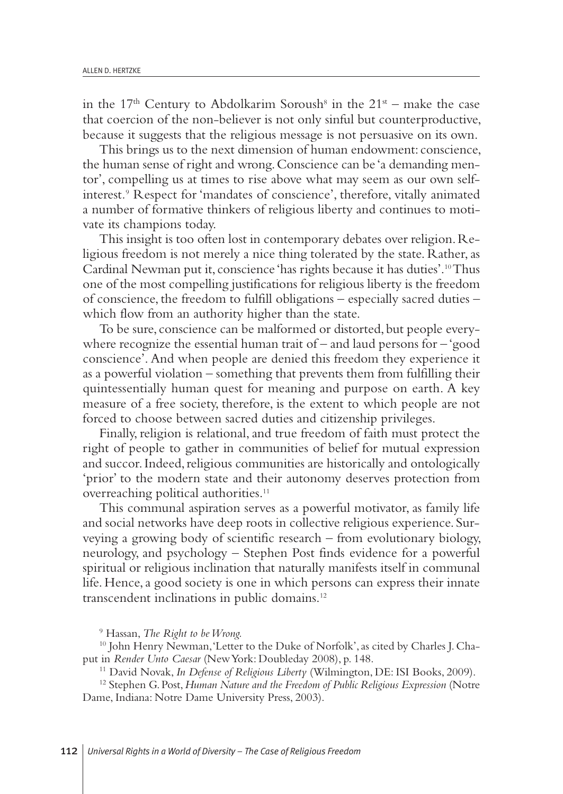in the 17<sup>th</sup> Century to Abdolkarim Soroush<sup>8</sup> in the  $21<sup>st</sup>$  – make the case that coercion of the non-believer is not only sinful but counterproductive, because it suggests that the religious message is not persuasive on its own.

This brings us to the next dimension of human endowment: conscience, the human sense of right and wrong.Conscience can be 'a demanding mentor', compelling us at times to rise above what may seem as our own selfinterest*.*<sup>9</sup> Respect for 'mandates of conscience', therefore, vitally animated a number of formative thinkers of religious liberty and continues to motivate its champions today.

This insight is too often lost in contemporary debates over religion. Religious freedom is not merely a nice thing tolerated by the state. Rather, as Cardinal Newman put it, conscience 'has rights because it has duties'. 10Thus one of the most compelling justifications for religious liberty is the freedom of conscience, the freedom to fulfill obligations – especially sacred duties – which flow from an authority higher than the state.

To be sure, conscience can be malformed or distorted, but people everywhere recognize the essential human trait of  $-$  and laud persons for  $-$  'good conscience'. And when people are denied this freedom they experience it as a powerful violation – something that prevents them from fulfilling their quintessentially human quest for meaning and purpose on earth. A key measure of a free society, therefore, is the extent to which people are not forced to choose between sacred duties and citizenship privileges.

Finally, religion is relational, and true freedom of faith must protect the right of people to gather in communities of belief for mutual expression and succor. Indeed, religious communities are historically and ontologically 'prior' to the modern state and their autonomy deserves protection from overreaching political authorities. 11

This communal aspiration serves as a powerful motivator, as family life and social networks have deep roots in collective religious experience. Surveying a growing body of scientific research – from evolutionary biology, neurology, and psychology – Stephen Post finds evidence for a powerful spiritual or religious inclination that naturally manifests itself in communal life.Hence,a good society is one in which persons can express their innate transcendent inclinations in public domains. 12

<sup>9</sup> Hassan, *The Right to beWrong.*

<sup>10</sup> John Henry Newman, 'Letter to the Duke of Norfolk', as cited by Charles J. Chaput in *Render Unto Caesar* (NewYork: Doubleday 2008), p. 148.

<sup>11</sup> David Novak, *In Defense of Religious Liberty* (Wilmington, DE: ISI Books, 2009).

<sup>12</sup> Stephen G.Post,*Human Nature and the Freedom of Public Religious Expression* (Notre Dame, Indiana: Notre Dame University Press, 2003).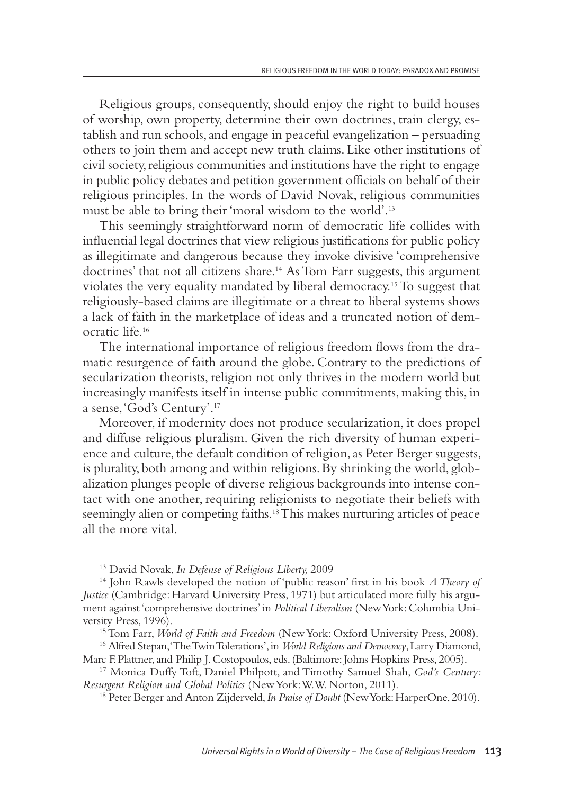Religious groups, consequently, should enjoy the right to build houses of worship, own property, determine their own doctrines, train clergy, establish and run schools, and engage in peaceful evangelization – persuading others to join them and accept new truth claims. Like other institutions of civil society, religious communities and institutions have the right to engage in public policy debates and petition government officials on behalf of their religious principles. In the words of David Novak, religious communities must be able to bring their 'moral wisdom to the world'. 13

This seemingly straightforward norm of democratic life collides with influential legal doctrines that view religious justifications for public policy as illegitimate and dangerous because they invoke divisive 'comprehensive doctrines' that not all citizens share. <sup>14</sup> As Tom Farr suggests, this argument violates the very equality mandated by liberal democracy. 15To suggest that religiously-based claims are illegitimate or a threat to liberal systems shows a lack of faith in the marketplace of ideas and a truncated notion of democratic life. 16

The international importance of religious freedom flows from the dramatic resurgence of faith around the globe. Contrary to the predictions of secularization theorists, religion not only thrives in the modern world but increasingly manifests itself in intense public commitments, making this, in a sense,'God's Century'. 17

Moreover, if modernity does not produce secularization, it does propel and diffuse religious pluralism. Given the rich diversity of human experience and culture, the default condition of religion, as Peter Berger suggests, is plurality, both among and within religions.By shrinking the world, globalization plunges people of diverse religious backgrounds into intense contact with one another, requiring religionists to negotiate their beliefs with seemingly alien or competing faiths. 18This makes nurturing articles of peace all the more vital.

<sup>13</sup> David Novak, *In Defense of Religious Liberty,* 2009

<sup>14</sup> John Rawls developed the notion of 'public reason' first in his book *ATheory of Justice* (Cambridge: Harvard University Press, 1971) but articulated more fully his argument against'comprehensive doctrines' in *Political Liberalism* (NewYork:Columbia University Press, 1996).

15Tom Farr, *World of Faith and Freedom* (NewYork: Oxford University Press, 2008).

<sup>16</sup> Alfred Stepan,'TheTwinTolerations',in *World Religions and Democracy*,Larry Diamond, Marc F. Plattner, and Philip J. Costopoulos, eds. (Baltimore: Johns Hopkins Press, 2005).

<sup>17</sup> Monica Duffy Toft, Daniel Philpott, and Timothy Samuel Shah, *God's Century: Resurgent Religion and Global Politics* (NewYork:W.W. Norton, 2011).

<sup>18</sup> Peter Berger and Anton Zijderveld, *In Praise of Doubt* (New York: HarperOne, 2010).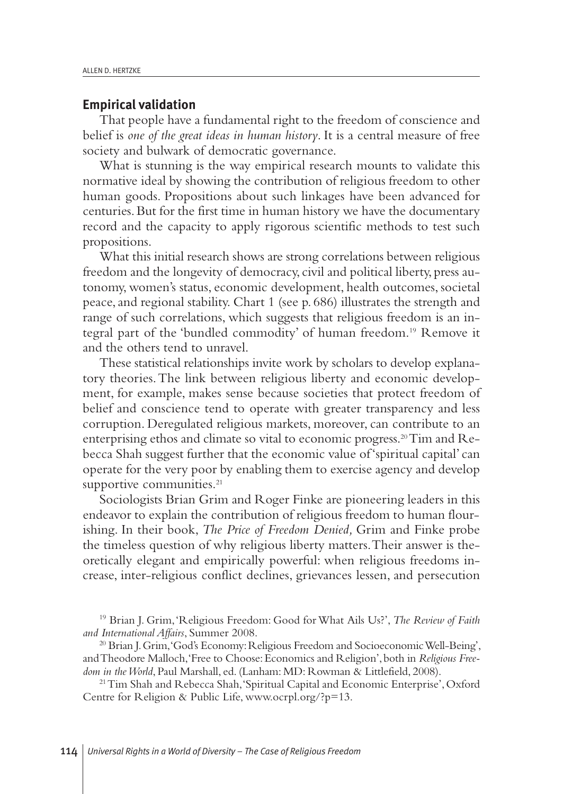#### **Empirical validation**

That people have a fundamental right to the freedom of conscience and belief is *one of the great ideas in human history*. It is a central measure of free society and bulwark of democratic governance.

What is stunning is the way empirical research mounts to validate this normative ideal by showing the contribution of religious freedom to other human goods. Propositions about such linkages have been advanced for centuries.But for the first time in human history we have the documentary record and the capacity to apply rigorous scientific methods to test such propositions.

What this initial research shows are strong correlations between religious freedom and the longevity of democracy, civil and political liberty, press autonomy, women's status, economic development, health outcomes, societal peace,and regional stability. Chart 1 (see p. 686) illustrates the strength and range of such correlations, which suggests that religious freedom is an integral part of the 'bundled commodity' of human freedom. <sup>19</sup> Remove it and the others tend to unravel.

These statistical relationships invite work by scholars to develop explanatory theories.The link between religious liberty and economic development, for example, makes sense because societies that protect freedom of belief and conscience tend to operate with greater transparency and less corruption. Deregulated religious markets, moreover, can contribute to an enterprising ethos and climate so vital to economic progress. 20Tim and Rebecca Shah suggest further that the economic value of 'spiritual capital' can operate for the very poor by enabling them to exercise agency and develop supportive communities. 21

Sociologists Brian Grim and Roger Finke are pioneering leaders in this endeavor to explain the contribution of religious freedom to human flourishing. In their book, *The Price of Freedom Denied,* Grim and Finke probe the timeless question of why religious liberty matters.Their answer is theoretically elegant and empirically powerful: when religious freedoms increase, inter-religious conflict declines, grievances lessen, and persecution

<sup>21</sup> Tim Shah and Rebecca Shah, 'Spiritual Capital and Economic Enterprise', Oxford Centre for Religion & Public Life, www.ocrpl.org/?p=13.

<sup>19</sup> Brian J. Grim,'Religious Freedom: Good forWhat Ails Us?', *The Review of Faith and International Affairs*, Summer 2008.

<sup>&</sup>lt;sup>20</sup> Brian J. Grim, 'God's Economy: Religious Freedom and Socioeconomic Well-Being', andTheodore Malloch,'Free to Choose:Economics and Religion',both in *Religious Freedom in theWorld*, Paul Marshall, ed. (Lanham: MD: Rowman & Littlefield, 2008).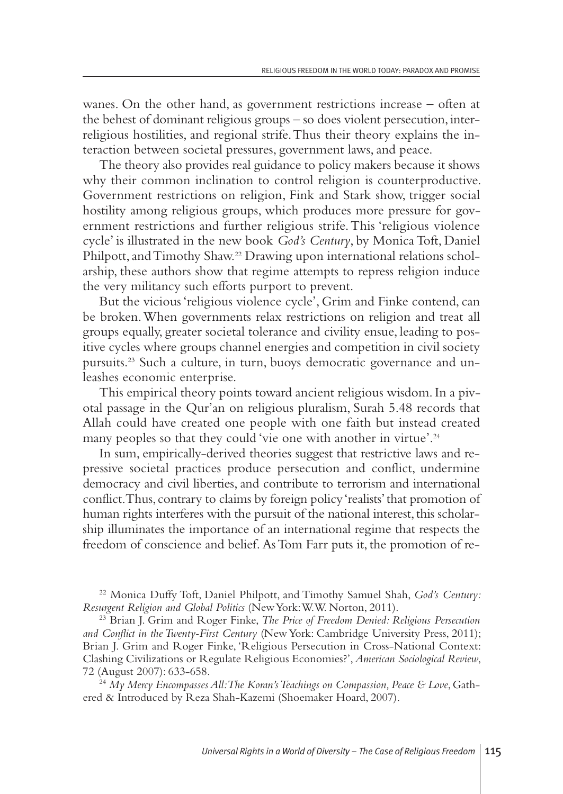wanes. On the other hand, as government restrictions increase – often at the behest of dominant religious groups – so does violent persecution, interreligious hostilities, and regional strife.Thus their theory explains the interaction between societal pressures, government laws, and peace.

The theory also provides real guidance to policy makers because it shows why their common inclination to control religion is counterproductive. Government restrictions on religion, Fink and Stark show, trigger social hostility among religious groups, which produces more pressure for government restrictions and further religious strife.This 'religious violence cycle' is illustrated in the new book *God's Century*, by MonicaToft, Daniel Philpott, and Timothy Shaw.<sup>22</sup> Drawing upon international relations scholarship, these authors show that regime attempts to repress religion induce the very militancy such efforts purport to prevent.

But the vicious 'religious violence cycle', Grim and Finke contend, can be broken.When governments relax restrictions on religion and treat all groups equally, greater societal tolerance and civility ensue, leading to positive cycles where groups channel energies and competition in civil society pursuits. <sup>23</sup> Such a culture, in turn, buoys democratic governance and unleashes economic enterprise.

This empirical theory points toward ancient religious wisdom.In a pivotal passage in the Qur'an on religious pluralism, Surah 5.48 records that Allah could have created one people with one faith but instead created many peoples so that they could 'vie one with another in virtue'. 24

In sum, empirically-derived theories suggest that restrictive laws and repressive societal practices produce persecution and conflict, undermine democracy and civil liberties, and contribute to terrorism and international conflict.Thus, contrary to claims by foreign policy 'realists'that promotion of human rights interferes with the pursuit of the national interest, this scholarship illuminates the importance of an international regime that respects the freedom of conscience and belief.AsTom Farr puts it, the promotion of re-

<sup>22</sup> Monica Duffy Toft, Daniel Philpott, and Timothy Samuel Shah, *God's Century: Resurgent Religion and Global Politics* (NewYork:W.W. Norton, 2011).

<sup>23</sup> Brian J. Grim and Roger Finke, *The Price of Freedom Denied: Religious Persecution and Conflict in theTwenty-First Century* (NewYork: Cambridge University Press, 2011); Brian J. Grim and Roger Finke, 'Religious Persecution in Cross-National Context: Clashing Civilizations or Regulate Religious Economies?',*American Sociological Review*, 72 (August 2007): 633-658.

<sup>24</sup> *My Mercy EncompassesAll:The Koran'sTeachings on Compassion, Peace & Love*, Gathered & Introduced by Reza Shah-Kazemi (Shoemaker Hoard, 2007).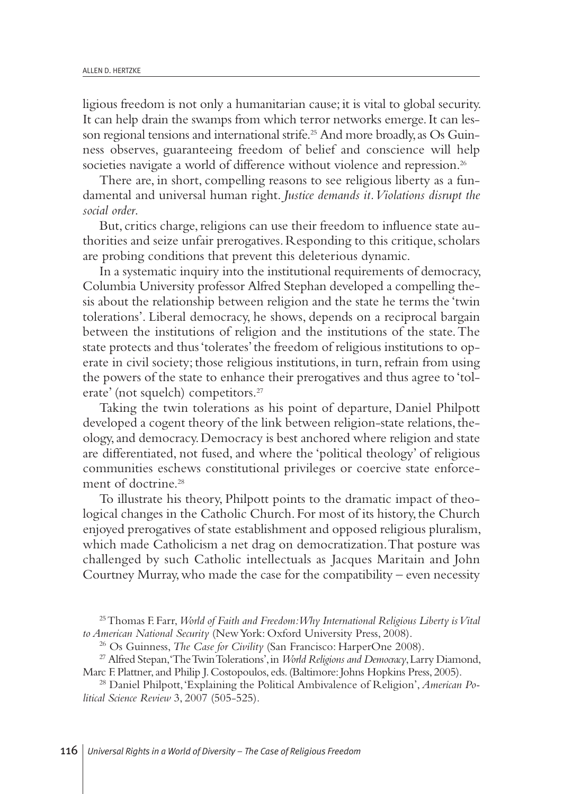ligious freedom is not only a humanitarian cause; it is vital to global security. It can help drain the swamps from which terror networks emerge.It can lesson regional tensions and international strife. <sup>25</sup> And more broadly,as Os Guinness observes, guaranteeing freedom of belief and conscience will help societies navigate a world of difference without violence and repression. 26

There are, in short, compelling reasons to see religious liberty as a fundamental and universal human right. *Justice demands it.Violations disrupt the social order*.

But, critics charge, religions can use their freedom to influence state authorities and seize unfair prerogatives. Responding to this critique, scholars are probing conditions that prevent this deleterious dynamic.

In a systematic inquiry into the institutional requirements of democracy, Columbia University professor Alfred Stephan developed a compelling thesis about the relationship between religion and the state he terms the 'twin tolerations'. Liberal democracy, he shows, depends on a reciprocal bargain between the institutions of religion and the institutions of the state.The state protects and thus'tolerates'the freedom of religious institutions to operate in civil society; those religious institutions, in turn, refrain from using the powers of the state to enhance their prerogatives and thus agree to 'tolerate' (not squelch) competitors. 27

Taking the twin tolerations as his point of departure, Daniel Philpott developed a cogent theory of the link between religion-state relations, theology,and democracy.Democracy is best anchored where religion and state are differentiated, not fused, and where the 'political theology' of religious communities eschews constitutional privileges or coercive state enforcement of doctrine. 28

To illustrate his theory, Philpott points to the dramatic impact of theological changes in the Catholic Church. For most of its history, the Church enjoyed prerogatives of state establishment and opposed religious pluralism, which made Catholicism a net drag on democratization.That posture was challenged by such Catholic intellectuals as Jacques Maritain and John Courtney Murray, who made the case for the compatibility – even necessity

<sup>25</sup>Thomas F.Farr,*World of Faith and Freedom:Why International Religious Liberty isVital to American National Security* (NewYork: Oxford University Press, 2008).

<sup>26</sup> Os Guinness, *The Case for Civility* (San Francisco: HarperOne 2008).

<sup>27</sup> Alfred Stepan,'TheTwinTolerations',in *World Religions and Democracy*,Larry Diamond, Marc F. Plattner, and Philip J. Costopoulos, eds. (Baltimore: Johns Hopkins Press, 2005).

<sup>28</sup> Daniel Philpott,'Explaining the Political Ambivalence of Religion',*American Political Science Review* 3, 2007 (505-525).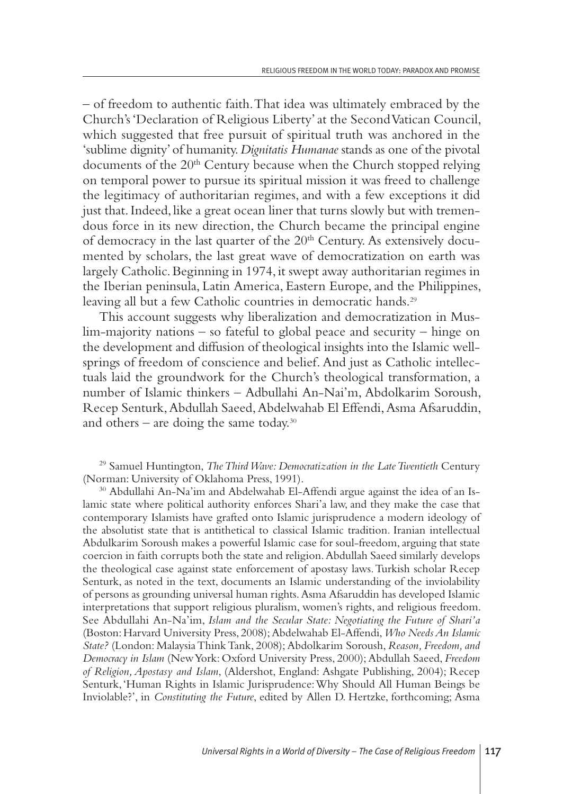– of freedom to authentic faith.That idea was ultimately embraced by the Church's 'Declaration of Religious Liberty'at the SecondVatican Council, which suggested that free pursuit of spiritual truth was anchored in the 'sublime dignity'of humanity.*Dignitatis Humanae* stands as one of the pivotal documents of the 20<sup>th</sup> Century because when the Church stopped relying on temporal power to pursue its spiritual mission it was freed to challenge the legitimacy of authoritarian regimes, and with a few exceptions it did just that. Indeed, like a great ocean liner that turns slowly but with tremendous force in its new direction, the Church became the principal engine of democracy in the last quarter of the 20<sup>th</sup> Century. As extensively documented by scholars, the last great wave of democratization on earth was largely Catholic.Beginning in 1974, it swept away authoritarian regimes in the Iberian peninsula, Latin America, Eastern Europe,and the Philippines, leaving all but a few Catholic countries in democratic hands. 29

This account suggests why liberalization and democratization in Muslim-majority nations – so fateful to global peace and security – hinge on the development and diffusion of theological insights into the Islamic wellsprings of freedom of conscience and belief. And just as Catholic intellectuals laid the groundwork for the Church's theological transformation, a number of Islamic thinkers – Adbullahi An-Nai'm, Abdolkarim Soroush, Recep Senturk,Abdullah Saeed,Abdelwahab El Effendi,Asma Afsaruddin, and others – are doing the same today. 30

<sup>29</sup> Samuel Huntington, *TheThirdWave: Democratization in the LateTwentieth* Century (Norman: University of Oklahoma Press, 1991).

<sup>30</sup> Abdullahi An-Na'im and Abdelwahab El-Affendi argue against the idea of an Islamic state where political authority enforces Shari'a law, and they make the case that contemporary Islamists have grafted onto Islamic jurisprudence a modern ideology of the absolutist state that is antithetical to classical Islamic tradition. Iranian intellectual Abdulkarim Soroush makes a powerful Islamic case for soul-freedom, arguing that state coercion in faith corrupts both the state and religion.Abdullah Saeed similarly develops the theological case against state enforcement of apostasy laws.Turkish scholar Recep Senturk, as noted in the text, documents an Islamic understanding of the inviolability of persons as grounding universal human rights.Asma Afsaruddin has developed Islamic interpretations that support religious pluralism, women's rights, and religious freedom. See Abdullahi An-Na'im, *Islam and the Secular State: Negotiating the Future of Shari'a* (Boston:Harvard University Press, 2008);Abdelwahab El-Affendi,*Who NeedsAn Islamic State?* (London: MalaysiaThinkTank, 2008);Abdolkarim Soroush,*Reason, Freedom, and Democracy in Islam* (NewYork: Oxford University Press, 2000);Abdullah Saeed, *Freedom of Religion,Apostasy and Islam*, (Aldershot, England: Ashgate Publishing, 2004); Recep Senturk,'Human Rights in Islamic Jurisprudence:Why Should All Human Beings be Inviolable?', in *Constituting the Future*, edited by Allen D. Hertzke, forthcoming; Asma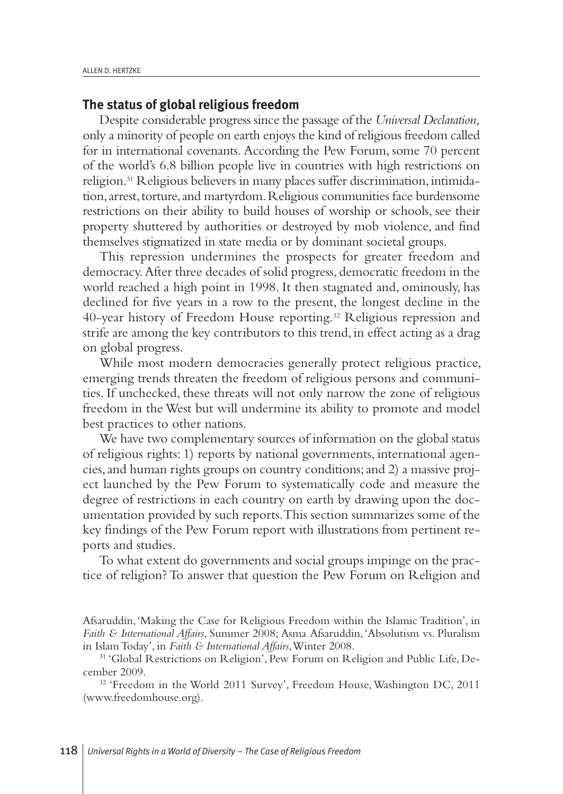#### **The status of global religious freedom**

Despite considerable progress since the passage of the *Universal Declaration,* only a minority of people on earth enjoys the kind of religious freedom called for in international covenants. According the Pew Forum, some 70 percent of the world's 6.8 billion people live in countries with high restrictions on religion. <sup>31</sup> Religious believers in many places suffer discrimination,intimidation, arrest, torture, and martyrdom. Religious communities face burdensome restrictions on their ability to build houses of worship or schools, see their property shuttered by authorities or destroyed by mob violence, and find themselves stigmatized in state media or by dominant societal groups.

This repression undermines the prospects for greater freedom and democracy.After three decades of solid progress, democratic freedom in the world reached a high point in 1998. It then stagnated and, ominously, has declined for five years in a row to the present, the longest decline in the 40-year history of Freedom House reporting. <sup>32</sup> Religious repression and strife are among the key contributors to this trend, in effect acting as a drag on global progress.

While most modern democracies generally protect religious practice, emerging trends threaten the freedom of religious persons and communities. If unchecked, these threats will not only narrow the zone of religious freedom in the West but will undermine its ability to promote and model best practices to other nations.

We have two complementary sources of information on the global status of religious rights: 1) reports by national governments, international agencies,and human rights groups on country conditions;and 2) a massive project launched by the Pew Forum to systematically code and measure the degree of restrictions in each country on earth by drawing upon the documentation provided by such reports.This section summarizes some of the key findings of the Pew Forum report with illustrations from pertinent reports and studies.

To what extent do governments and social groups impinge on the practice of religion?To answer that question the Pew Forum on Religion and

Afsaruddin,'Making the Case for Religious Freedom within the Islamic Tradition', in *Faith & International Affairs*, Summer 2008; Asma Afsaruddin,'Absolutism vs. Pluralism in IslamToday', in *Faith & International Affairs*,Winter 2008.

<sup>31</sup> 'Global Restrictions on Religion', Pew Forum on Religion and Public Life, December 2009.

<sup>32</sup> 'Freedom in the World 2011 Survey', Freedom House, Washington DC, 2011 (www.freedomhouse.org).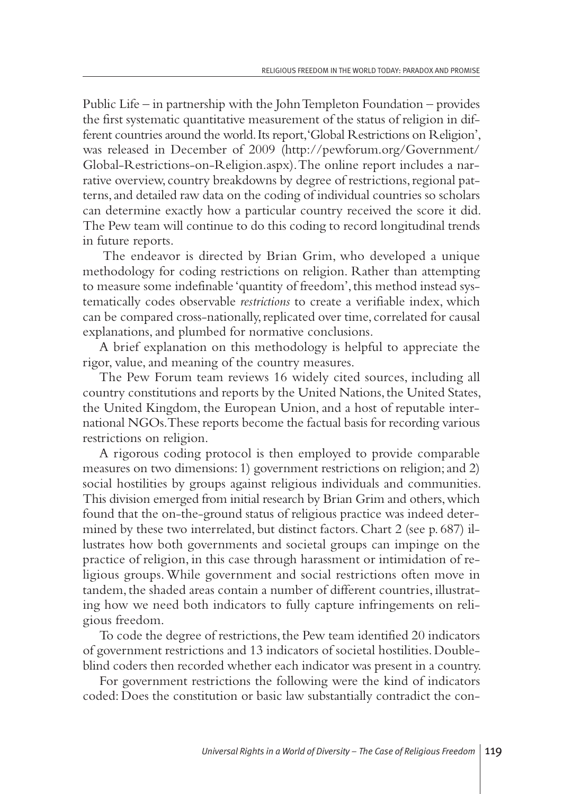Public Life – in partnership with the JohnTempleton Foundation – provides the first systematic quantitative measurement of the status of religion in different countries around the world. Its report, 'Global Restrictions on Religion', was released in December of 2009 (http://pewforum.org/Government/ Global-Restrictions-on-Religion.aspx).The online report includes a narrative overview, country breakdowns by degree of restrictions, regional patterns,and detailed raw data on the coding of individual countries so scholars can determine exactly how a particular country received the score it did. The Pew team will continue to do this coding to record longitudinal trends in future reports.

The endeavor is directed by Brian Grim, who developed a unique methodology for coding restrictions on religion. Rather than attempting to measure some indefinable 'quantity of freedom', this method instead systematically codes observable *restrictions* to create a verifiable index, which can be compared cross-nationally, replicated over time, correlated for causal explanations, and plumbed for normative conclusions.

A brief explanation on this methodology is helpful to appreciate the rigor, value, and meaning of the country measures.

The Pew Forum team reviews 16 widely cited sources, including all country constitutions and reports by the United Nations, the United States, the United Kingdom, the European Union,and a host of reputable international NGOs.These reports become the factual basis for recording various restrictions on religion.

A rigorous coding protocol is then employed to provide comparable measures on two dimensions: 1) government restrictions on religion;and 2) social hostilities by groups against religious individuals and communities. This division emerged from initial research by Brian Grim and others,which found that the on-the-ground status of religious practice was indeed determined by these two interrelated, but distinct factors. Chart 2 (see p. 687) illustrates how both governments and societal groups can impinge on the practice of religion, in this case through harassment or intimidation of religious groups.While government and social restrictions often move in tandem, the shaded areas contain a number of different countries, illustrating how we need both indicators to fully capture infringements on religious freedom.

To code the degree of restrictions, the Pew team identified 20 indicators of government restrictions and 13 indicators of societal hostilities.Doubleblind coders then recorded whether each indicator was present in a country.

For government restrictions the following were the kind of indicators coded: Does the constitution or basic law substantially contradict the con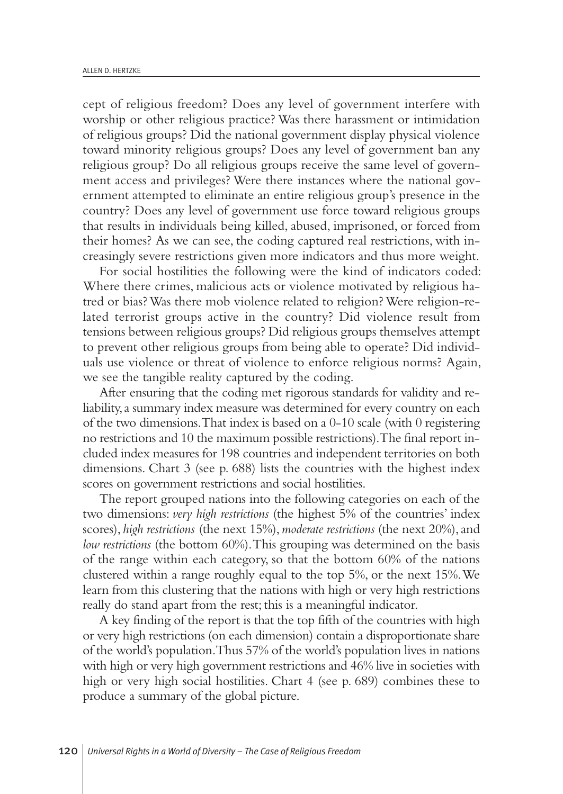cept of religious freedom? Does any level of government interfere with worship or other religious practice? Was there harassment or intimidation of religious groups? Did the national government display physical violence toward minority religious groups? Does any level of government ban any religious group? Do all religious groups receive the same level of government access and privileges? Were there instances where the national government attempted to eliminate an entire religious group's presence in the country? Does any level of government use force toward religious groups that results in individuals being killed, abused, imprisoned, or forced from their homes? As we can see, the coding captured real restrictions, with increasingly severe restrictions given more indicators and thus more weight.

For social hostilities the following were the kind of indicators coded: Where there crimes, malicious acts or violence motivated by religious hatred or bias?Was there mob violence related to religion?Were religion-related terrorist groups active in the country? Did violence result from tensions between religious groups? Did religious groups themselves attempt to prevent other religious groups from being able to operate? Did individuals use violence or threat of violence to enforce religious norms? Again, we see the tangible reality captured by the coding.

After ensuring that the coding met rigorous standards for validity and reliability,a summary index measure was determined for every country on each of the two dimensions.That index is based on a 0-10 scale (with 0 registering no restrictions and 10 the maximum possible restrictions).The final report included index measures for 198 countries and independent territories on both dimensions. Chart 3 (see p. 688) lists the countries with the highest index scores on government restrictions and social hostilities.

The report grouped nations into the following categories on each of the two dimensions: *very high restrictions* (the highest 5% of the countries' index scores), *high restrictions* (the next 15%),*moderate restrictions* (the next 20%),and *low restrictions* (the bottom 60%).This grouping was determined on the basis of the range within each category, so that the bottom 60% of the nations clustered within a range roughly equal to the top 5%, or the next 15%.We learn from this clustering that the nations with high or very high restrictions really do stand apart from the rest; this is a meaningful indicator.

A key finding of the report is that the top fifth of the countries with high or very high restrictions (on each dimension) contain a disproportionate share of the world's population.Thus 57% of the world's population lives in nations with high or very high government restrictions and 46% live in societies with high or very high social hostilities. Chart 4 (see p. 689) combines these to produce a summary of the global picture.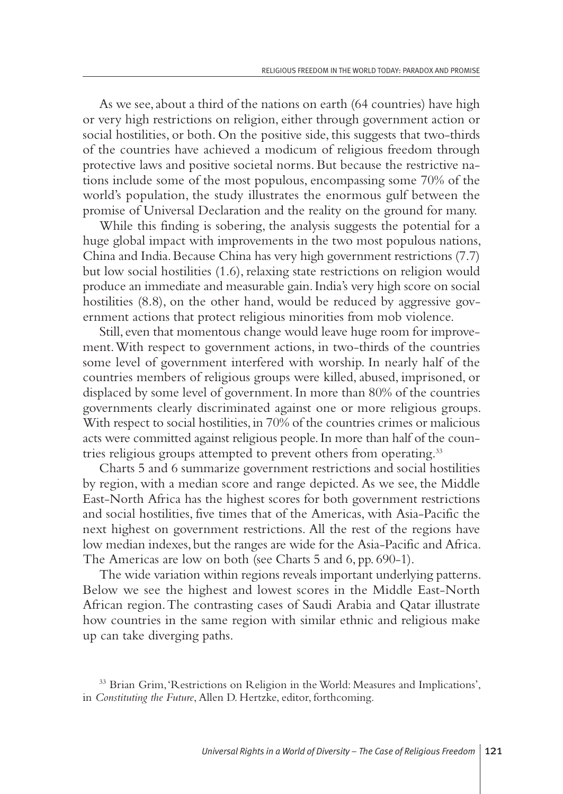As we see, about a third of the nations on earth (64 countries) have high or very high restrictions on religion, either through government action or social hostilities, or both. On the positive side, this suggests that two-thirds of the countries have achieved a modicum of religious freedom through protective laws and positive societal norms. But because the restrictive nations include some of the most populous, encompassing some 70% of the world's population, the study illustrates the enormous gulf between the promise of Universal Declaration and the reality on the ground for many.

While this finding is sobering, the analysis suggests the potential for a huge global impact with improvements in the two most populous nations, China and India.Because China has very high government restrictions (7.7) but low social hostilities (1.6), relaxing state restrictions on religion would produce an immediate and measurable gain.India's very high score on social hostilities  $(8.8)$ , on the other hand, would be reduced by aggressive government actions that protect religious minorities from mob violence.

Still, even that momentous change would leave huge room for improvement.With respect to government actions, in two-thirds of the countries some level of government interfered with worship. In nearly half of the countries members of religious groups were killed, abused, imprisoned, or displaced by some level of government.In more than 80% of the countries governments clearly discriminated against one or more religious groups. With respect to social hostilities, in 70% of the countries crimes or malicious acts were committed against religious people.In more than half of the countries religious groups attempted to prevent others from operating.<sup>33</sup>

Charts 5 and 6 summarize government restrictions and social hostilities by region, with a median score and range depicted. As we see, the Middle East-North Africa has the highest scores for both government restrictions and social hostilities, five times that of the Americas, with Asia-Pacific the next highest on government restrictions. All the rest of the regions have low median indexes, but the ranges are wide for the Asia-Pacific and Africa. The Americas are low on both (see Charts 5 and 6, pp. 690-1).

The wide variation within regions reveals important underlying patterns. Below we see the highest and lowest scores in the Middle East-North African region.The contrasting cases of Saudi Arabia and Qatar illustrate how countries in the same region with similar ethnic and religious make up can take diverging paths.

<sup>&</sup>lt;sup>33</sup> Brian Grim, 'Restrictions on Religion in the World: Measures and Implications', in *Constituting the Future*, Allen D. Hertzke, editor, forthcoming.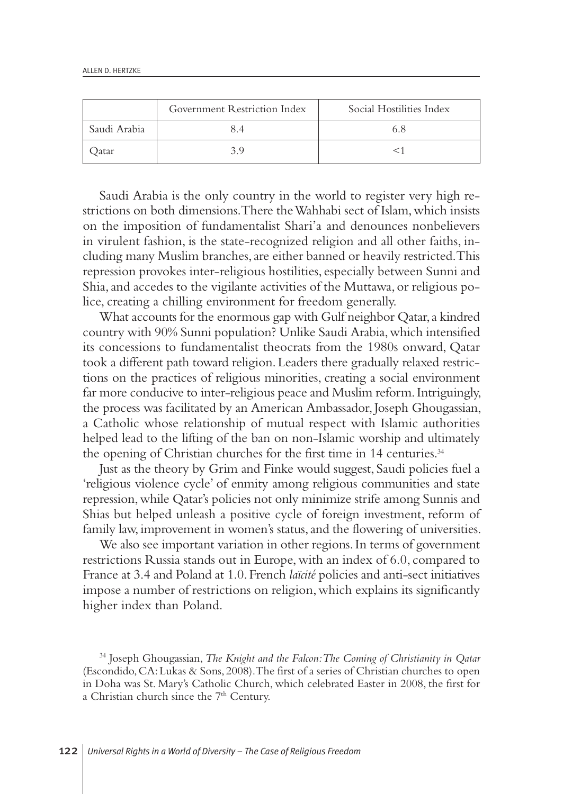|              | Government Restriction Index | Social Hostilities Index |
|--------------|------------------------------|--------------------------|
| Saudi Arabia |                              |                          |
| atar         |                              |                          |

Saudi Arabia is the only country in the world to register very high restrictions on both dimensions.There theWahhabi sect of Islam,which insists on the imposition of fundamentalist Shari'a and denounces nonbelievers in virulent fashion, is the state-recognized religion and all other faiths, including many Muslim branches,are either banned or heavily restricted.This repression provokes inter-religious hostilities, especially between Sunni and Shia,and accedes to the vigilante activities of the Muttawa, or religious police, creating a chilling environment for freedom generally.

What accounts for the enormous gap with Gulf neighbor Qatar, a kindred country with 90% Sunni population? Unlike Saudi Arabia,which intensified its concessions to fundamentalist theocrats from the 1980s onward, Qatar took a different path toward religion.Leaders there gradually relaxed restrictions on the practices of religious minorities, creating a social environment far more conducive to inter-religious peace and Muslim reform. Intriguingly, the process was facilitated by an American Ambassador, Joseph Ghougassian, a Catholic whose relationship of mutual respect with Islamic authorities helped lead to the lifting of the ban on non-Islamic worship and ultimately the opening of Christian churches for the first time in 14 centuries.<sup>34</sup>

Just as the theory by Grim and Finke would suggest, Saudi policies fuel a 'religious violence cycle' of enmity among religious communities and state repression,while Qatar's policies not only minimize strife among Sunnis and Shias but helped unleash a positive cycle of foreign investment, reform of family law, improvement in women's status, and the flowering of universities.

We also see important variation in other regions. In terms of government restrictions Russia stands out in Europe,with an index of 6.0, compared to France at 3.4 and Poland at 1.0.French *laïcité* policies and anti-sect initiatives impose a number of restrictions on religion,which explains its significantly higher index than Poland.

<sup>34</sup> Joseph Ghougassian, *The Knight and the Falcon:The Coming of Christianity in Qatar* (Escondido,CA:Lukas & Sons, 2008).The first of a series of Christian churches to open in Doha was St. Mary's Catholic Church, which celebrated Easter in 2008, the first for a Christian church since the 7<sup>th</sup> Century.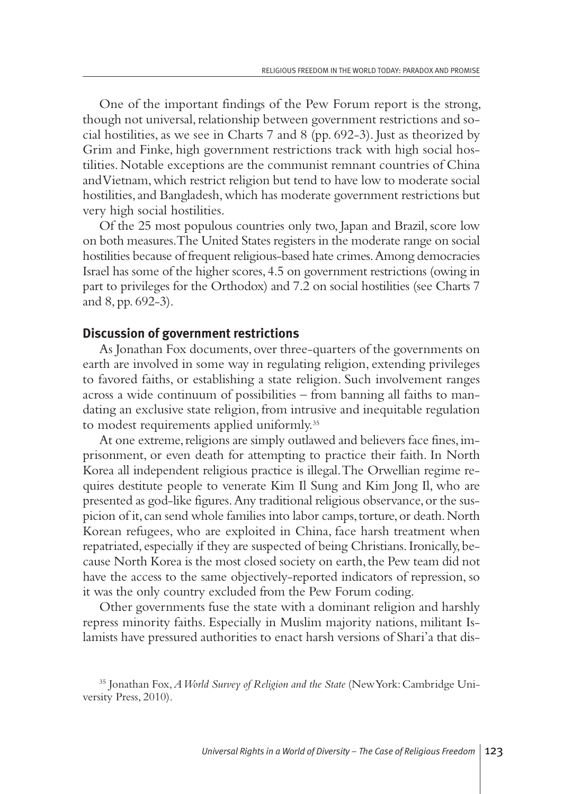One of the important findings of the Pew Forum report is the strong, though not universal, relationship between government restrictions and social hostilities,as we see in Charts 7 and 8 (pp. 692-3). Just as theorized by Grim and Finke, high government restrictions track with high social hostilities. Notable exceptions are the communist remnant countries of China andVietnam,which restrict religion but tend to have low to moderate social hostilities, and Bangladesh, which has moderate government restrictions but very high social hostilities.

Of the 25 most populous countries only two, Japan and Brazil, score low on both measures.The United States registers in the moderate range on social hostilities because of frequent religious-based hate crimes.Among democracies Israel has some of the higher scores,4.5 on government restrictions (owing in part to privileges for the Orthodox) and 7.2 on social hostilities (see Charts 7 and 8, pp. 692-3).

#### **Discussion of government restrictions**

As Jonathan Fox documents, over three-quarters of the governments on earth are involved in some way in regulating religion, extending privileges to favored faiths, or establishing a state religion. Such involvement ranges across a wide continuum of possibilities – from banning all faiths to mandating an exclusive state religion, from intrusive and inequitable regulation to modest requirements applied uniformly.<sup>35</sup>

At one extreme, religions are simply outlawed and believers face fines, imprisonment, or even death for attempting to practice their faith. In North Korea all independent religious practice is illegal.The Orwellian regime requires destitute people to venerate Kim Il Sung and Kim Jong Il, who are presented as god-like figures.Any traditional religious observance,or the suspicion of it, can send whole families into labor camps, torture, or death. North Korean refugees, who are exploited in China, face harsh treatment when repatriated, especially if they are suspected of being Christians.Ironically, because North Korea is the most closed society on earth, the Pew team did not have the access to the same objectively-reported indicators of repression, so it was the only country excluded from the Pew Forum coding.

Other governments fuse the state with a dominant religion and harshly repress minority faiths. Especially in Muslim majority nations, militant Islamists have pressured authorities to enact harsh versions of Shari'a that dis-

<sup>35</sup> Jonathan Fox,*AWorld Survey of Religion and the State* (NewYork:Cambridge University Press, 2010).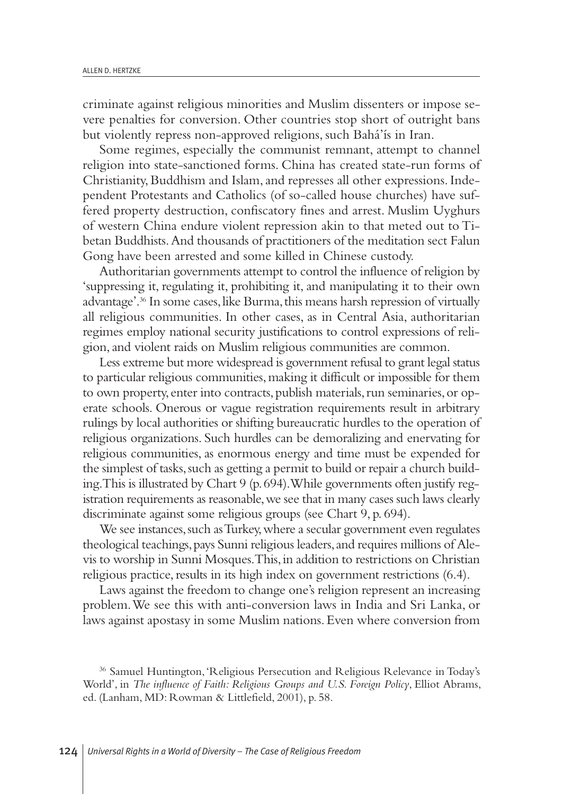criminate against religious minorities and Muslim dissenters or impose severe penalties for conversion. Other countries stop short of outright bans but violently repress non-approved religions, such Bahá'ís in Iran.

Some regimes, especially the communist remnant, attempt to channel religion into state-sanctioned forms. China has created state-run forms of Christianity, Buddhism and Islam, and represses all other expressions. Independent Protestants and Catholics (of so-called house churches) have suffered property destruction, confiscatory fines and arrest. Muslim Uyghurs of western China endure violent repression akin to that meted out to Tibetan Buddhists.And thousands of practitioners of the meditation sect Falun Gong have been arrested and some killed in Chinese custody.

Authoritarian governments attempt to control the influence of religion by 'suppressing it, regulating it, prohibiting it,and manipulating it to their own advantage'. <sup>36</sup> In some cases,like Burma,this means harsh repression of virtually all religious communities. In other cases, as in Central Asia, authoritarian regimes employ national security justifications to control expressions of religion,and violent raids on Muslim religious communities are common.

Less extreme but more widespread is government refusal to grant legal status to particular religious communities,making it difficult or impossible for them to own property, enter into contracts, publish materials, run seminaries, or operate schools. Onerous or vague registration requirements result in arbitrary rulings by local authorities or shifting bureaucratic hurdles to the operation of religious organizations. Such hurdles can be demoralizing and enervating for religious communities, as enormous energy and time must be expended for the simplest of tasks, such as getting a permit to build or repair a church building.This is illustrated by Chart 9 (p.694).While governments often justify registration requirements as reasonable, we see that in many cases such laws clearly discriminate against some religious groups (see Chart 9, p. 694).

We see instances, such as Turkey, where a secular government even regulates theological teachings, pays Sunni religious leaders, and requires millions of Alevis to worship in Sunni Mosques.This,in addition to restrictions on Christian religious practice, results in its high index on government restrictions (6.4).

Laws against the freedom to change one's religion represent an increasing problem.We see this with anti-conversion laws in India and Sri Lanka, or laws against apostasy in some Muslim nations.Even where conversion from

<sup>36</sup> Samuel Huntington,'Religious Persecution and Religious Relevance in Today's World', in *The influence of Faith: Religious Groups and U.S. Foreign Policy*, Elliot Abrams, ed. (Lanham, MD: Rowman & Littlefield, 2001), p. 58.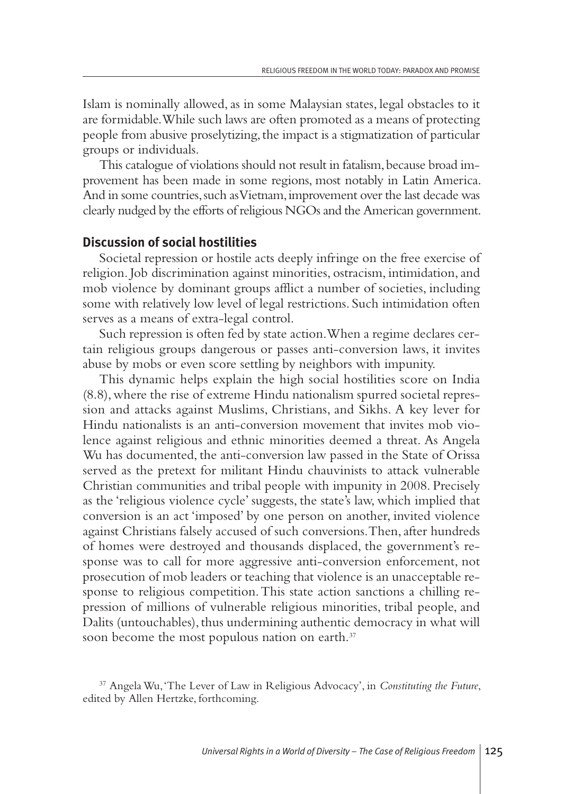Islam is nominally allowed, as in some Malaysian states, legal obstacles to it are formidable.While such laws are often promoted as a means of protecting people from abusive proselytizing, the impact is a stigmatization of particular groups or individuals.

This catalogue of violations should not result in fatalism, because broad improvement has been made in some regions, most notably in Latin America. And in some countries, such as Vietnam, improvement over the last decade was clearly nudged by the efforts of religious NGOs and the American government.

#### **Discussion of social hostilities**

Societal repression or hostile acts deeply infringe on the free exercise of religion. Job discrimination against minorities, ostracism, intimidation,and mob violence by dominant groups afflict a number of societies, including some with relatively low level of legal restrictions. Such intimidation often serves as a means of extra-legal control.

Such repression is often fed by state action.When a regime declares certain religious groups dangerous or passes anti-conversion laws, it invites abuse by mobs or even score settling by neighbors with impunity.

This dynamic helps explain the high social hostilities score on India (8.8),where the rise of extreme Hindu nationalism spurred societal repression and attacks against Muslims, Christians, and Sikhs. A key lever for Hindu nationalists is an anti-conversion movement that invites mob violence against religious and ethnic minorities deemed a threat. As Angela Wu has documented, the anti-conversion law passed in the State of Orissa served as the pretext for militant Hindu chauvinists to attack vulnerable Christian communities and tribal people with impunity in 2008. Precisely as the 'religious violence cycle' suggests, the state's law, which implied that conversion is an act 'imposed' by one person on another, invited violence against Christians falsely accused of such conversions. Then, after hundreds of homes were destroyed and thousands displaced, the government's response was to call for more aggressive anti-conversion enforcement, not prosecution of mob leaders or teaching that violence is an unacceptable response to religious competition.This state action sanctions a chilling repression of millions of vulnerable religious minorities, tribal people, and Dalits (untouchables), thus undermining authentic democracy in what will soon become the most populous nation on earth.<sup>37</sup>

<sup>37</sup> AngelaWu,'The Lever of Law in Religious Advocacy', in *Constituting the Future*, edited by Allen Hertzke, forthcoming.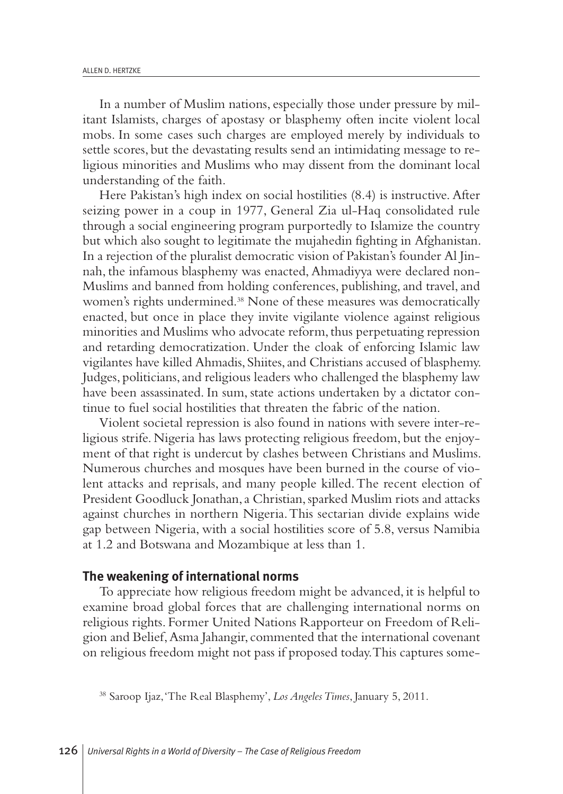In a number of Muslim nations, especially those under pressure by militant Islamists, charges of apostasy or blasphemy often incite violent local mobs. In some cases such charges are employed merely by individuals to settle scores, but the devastating results send an intimidating message to religious minorities and Muslims who may dissent from the dominant local understanding of the faith.

Here Pakistan's high index on social hostilities (8.4) is instructive. After seizing power in a coup in 1977, General Zia ul-Haq consolidated rule through a social engineering program purportedly to Islamize the country but which also sought to legitimate the mujahedin fighting in Afghanistan. In a rejection of the pluralist democratic vision of Pakistan's founder Al Jinnah, the infamous blasphemy was enacted, Ahmadiyya were declared non-Muslims and banned from holding conferences, publishing, and travel, and women's rights undermined. <sup>38</sup> None of these measures was democratically enacted, but once in place they invite vigilante violence against religious minorities and Muslims who advocate reform, thus perpetuating repression and retarding democratization. Under the cloak of enforcing Islamic law vigilantes have killed Ahmadis, Shiites, and Christians accused of blasphemy. Judges, politicians, and religious leaders who challenged the blasphemy law have been assassinated. In sum, state actions undertaken by a dictator continue to fuel social hostilities that threaten the fabric of the nation.

Violent societal repression is also found in nations with severe inter-religious strife. Nigeria has laws protecting religious freedom, but the enjoyment of that right is undercut by clashes between Christians and Muslims. Numerous churches and mosques have been burned in the course of violent attacks and reprisals, and many people killed.The recent election of President Goodluck Jonathan, a Christian, sparked Muslim riots and attacks against churches in northern Nigeria.This sectarian divide explains wide gap between Nigeria, with a social hostilities score of 5.8, versus Namibia at 1.2 and Botswana and Mozambique at less than 1.

#### **The weakening of international norms**

To appreciate how religious freedom might be advanced, it is helpful to examine broad global forces that are challenging international norms on religious rights. Former United Nations Rapporteur on Freedom of Religion and Belief,Asma Jahangir, commented that the international covenant on religious freedom might not pass if proposed today.This captures some-

<sup>38</sup> Saroop Ijaz,'The Real Blasphemy', *Los AngelesTimes*, January 5, 2011.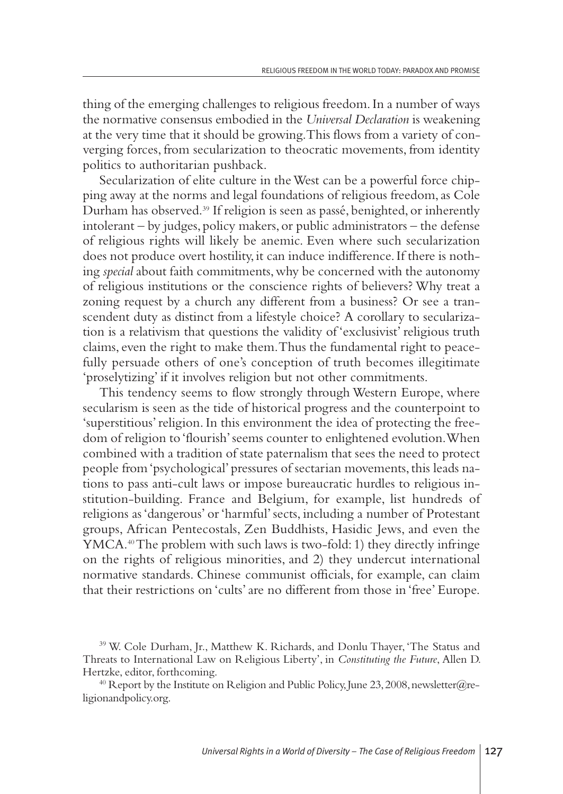thing of the emerging challenges to religious freedom.In a number of ways the normative consensus embodied in the *Universal Declaration* is weakening at the very time that it should be growing.This flows from a variety of converging forces, from secularization to theocratic movements, from identity politics to authoritarian pushback.

Secularization of elite culture in theWest can be a powerful force chipping away at the norms and legal foundations of religious freedom, as Cole Durham has observed. <sup>39</sup> If religion is seen as passé, benighted, or inherently intolerant – by judges, policy makers, or public administrators – the defense of religious rights will likely be anemic. Even where such secularization does not produce overt hostility, it can induce indifference.If there is nothing *special* about faith commitments,why be concerned with the autonomy of religious institutions or the conscience rights of believers? Why treat a zoning request by a church any different from a business? Or see a transcendent duty as distinct from a lifestyle choice? A corollary to secularization is a relativism that questions the validity of 'exclusivist' religious truth claims, even the right to make them.Thus the fundamental right to peacefully persuade others of one's conception of truth becomes illegitimate 'proselytizing' if it involves religion but not other commitments.

This tendency seems to flow strongly through Western Europe, where secularism is seen as the tide of historical progress and the counterpoint to 'superstitious'religion.In this environment the idea of protecting the freedom of religion to 'flourish'seems counter to enlightened evolution.When combined with a tradition of state paternalism that sees the need to protect people from'psychological' pressures of sectarian movements,this leads nations to pass anti-cult laws or impose bureaucratic hurdles to religious institution-building. France and Belgium, for example, list hundreds of religions as 'dangerous' or'harmful' sects, including a number of Protestant groups, African Pentecostals, Zen Buddhists, Hasidic Jews, and even the YMCA. 40The problem with such laws is two-fold: 1) they directly infringe on the rights of religious minorities, and 2) they undercut international normative standards. Chinese communist officials, for example, can claim that their restrictions on 'cults'are no different from those in 'free' Europe.

<sup>39</sup> W. Cole Durham, Jr., Matthew K. Richards, and Donlu Thayer, 'The Status and Threats to International Law on Religious Liberty', in *Constituting the Future*, Allen D. Hertzke, editor, forthcoming.

<sup>&</sup>lt;sup>40</sup> Report by the Institute on Religion and Public Policy, June 23, 2008, newsletter@religionandpolicy.org.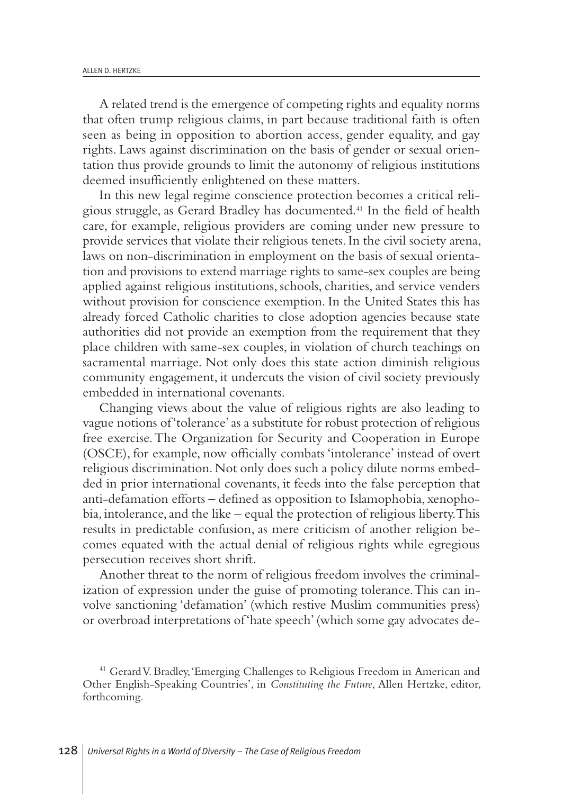A related trend is the emergence of competing rights and equality norms that often trump religious claims, in part because traditional faith is often seen as being in opposition to abortion access, gender equality, and gay rights. Laws against discrimination on the basis of gender or sexual orientation thus provide grounds to limit the autonomy of religious institutions deemed insufficiently enlightened on these matters.

In this new legal regime conscience protection becomes a critical religious struggle, as Gerard Bradley has documented. <sup>41</sup> In the field of health care, for example, religious providers are coming under new pressure to provide services that violate their religious tenets.In the civil society arena, laws on non-discrimination in employment on the basis of sexual orientation and provisions to extend marriage rights to same-sex couples are being applied against religious institutions, schools, charities, and service venders without provision for conscience exemption. In the United States this has already forced Catholic charities to close adoption agencies because state authorities did not provide an exemption from the requirement that they place children with same-sex couples, in violation of church teachings on sacramental marriage. Not only does this state action diminish religious community engagement, it undercuts the vision of civil society previously embedded in international covenants.

Changing views about the value of religious rights are also leading to vague notions of 'tolerance'as a substitute for robust protection of religious free exercise.The Organization for Security and Cooperation in Europe (OSCE), for example, now officially combats 'intolerance' instead of overt religious discrimination.Not only does such a policy dilute norms embedded in prior international covenants, it feeds into the false perception that anti-defamation efforts – defined as opposition to Islamophobia, xenopho $bia$ , intolerance, and the like – equal the protection of religious liberty. This results in predictable confusion, as mere criticism of another religion becomes equated with the actual denial of religious rights while egregious persecution receives short shrift.

Another threat to the norm of religious freedom involves the criminalization of expression under the guise of promoting tolerance.This can involve sanctioning 'defamation' (which restive Muslim communities press) or overbroad interpretations of'hate speech'(which some gay advocates de-

<sup>&</sup>lt;sup>41</sup> Gerard V. Bradley, 'Emerging Challenges to Religious Freedom in American and Other English-Speaking Countries', in *Constituting the Future*, Allen Hertzke, editor, forthcoming.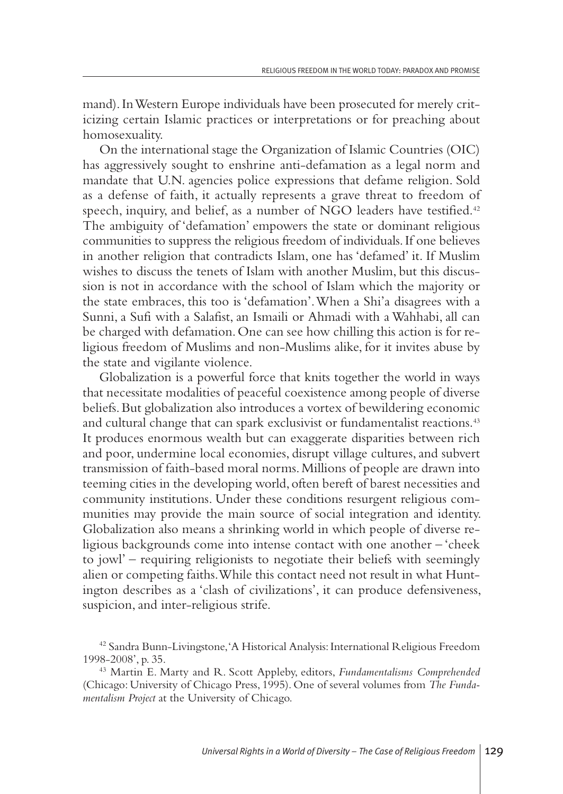mand). In Western Europe individuals have been prosecuted for merely criticizing certain Islamic practices or interpretations or for preaching about homosexuality.

On the international stage the Organization of Islamic Countries (OIC) has aggressively sought to enshrine anti-defamation as a legal norm and mandate that U.N. agencies police expressions that defame religion. Sold as a defense of faith, it actually represents a grave threat to freedom of speech, inquiry, and belief, as a number of NGO leaders have testified. 42 The ambiguity of 'defamation' empowers the state or dominant religious communities to suppress the religious freedom of individuals.If one believes in another religion that contradicts Islam, one has 'defamed' it. If Muslim wishes to discuss the tenets of Islam with another Muslim, but this discussion is not in accordance with the school of Islam which the majority or the state embraces, this too is 'defamation'.When a Shi'a disagrees with a Sunni, a Sufi with a Salafist, an Ismaili or Ahmadi with a Wahhabi, all can be charged with defamation.One can see how chilling this action is for religious freedom of Muslims and non-Muslims alike, for it invites abuse by the state and vigilante violence.

Globalization is a powerful force that knits together the world in ways that necessitate modalities of peaceful coexistence among people of diverse beliefs.But globalization also introduces a vortex of bewildering economic and cultural change that can spark exclusivist or fundamentalist reactions. 43 It produces enormous wealth but can exaggerate disparities between rich and poor, undermine local economies, disrupt village cultures, and subvert transmission of faith-based moral norms.Millions of people are drawn into teeming cities in the developing world, often bereft of barest necessities and community institutions. Under these conditions resurgent religious communities may provide the main source of social integration and identity. Globalization also means a shrinking world in which people of diverse religious backgrounds come into intense contact with one another – 'cheek to jowl' – requiring religionists to negotiate their beliefs with seemingly alien or competing faiths.While this contact need not result in what Huntington describes as a 'clash of civilizations', it can produce defensiveness, suspicion, and inter-religious strife.

<sup>&</sup>lt;sup>42</sup> Sandra Bunn-Livingstone, 'A Historical Analysis: International Religious Freedom 1998-2008', p. 35.

<sup>43</sup> Martin E. Marty and R. Scott Appleby, editors, *Fundamentalisms Comprehended* (Chicago: University of Chicago Press, 1995). One of several volumes from *The Fundamentalism Project* at the University of Chicago.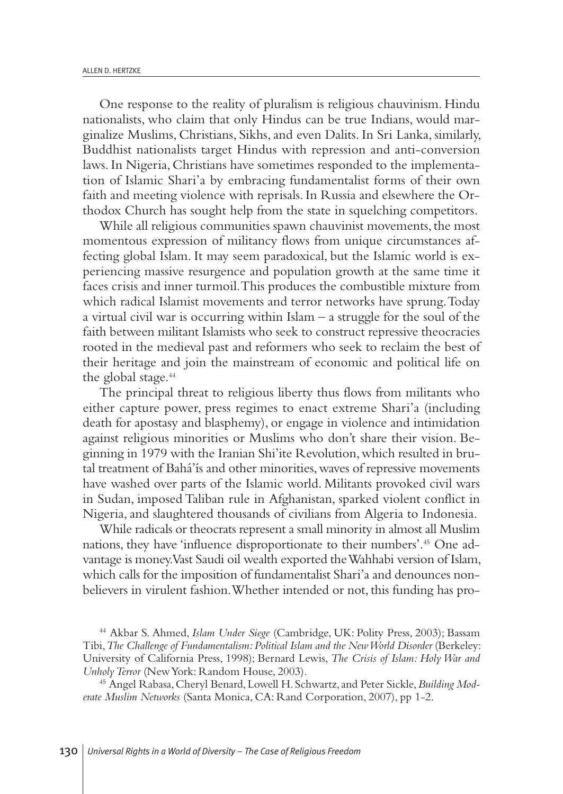One response to the reality of pluralism is religious chauvinism. Hindu nationalists, who claim that only Hindus can be true Indians, would marginalize Muslims, Christians, Sikhs,and even Dalits. In Sri Lanka, similarly, Buddhist nationalists target Hindus with repression and anti-conversion laws.In Nigeria, Christians have sometimes responded to the implementation of Islamic Shari'a by embracing fundamentalist forms of their own faith and meeting violence with reprisals.In Russia and elsewhere the Orthodox Church has sought help from the state in squelching competitors.

While all religious communities spawn chauvinist movements, the most momentous expression of militancy flows from unique circumstances affecting global Islam. It may seem paradoxical, but the Islamic world is experiencing massive resurgence and population growth at the same time it faces crisis and inner turmoil.This produces the combustible mixture from which radical Islamist movements and terror networks have sprung.Today a virtual civil war is occurring within Islam – a struggle for the soul of the faith between militant Islamists who seek to construct repressive theocracies rooted in the medieval past and reformers who seek to reclaim the best of their heritage and join the mainstream of economic and political life on the global stage. 44

The principal threat to religious liberty thus flows from militants who either capture power, press regimes to enact extreme Shari'a (including death for apostasy and blasphemy), or engage in violence and intimidation against religious minorities or Muslims who don't share their vision. Beginning in 1979 with the Iranian Shi'ite Revolution,which resulted in brutal treatment of Bahá'ís and other minorities, waves of repressive movements have washed over parts of the Islamic world. Militants provoked civil wars in Sudan, imposed Taliban rule in Afghanistan, sparked violent conflict in Nigeria,and slaughtered thousands of civilians from Algeria to Indonesia.

While radicals or theocrats represent a small minority in almost all Muslim nations, they have 'influence disproportionate to their numbers'. <sup>45</sup> One advantage is money.Vast Saudi oil wealth exported theWahhabi version of Islam, which calls for the imposition of fundamentalist Shari'a and denounces nonbelievers in virulent fashion.Whether intended or not, this funding has pro-

<sup>44</sup> Akbar S. Ahmed, *Islam Under Siege* (Cambridge, UK: Polity Press, 2003); Bassam Tibi,*The Challenge of Fundamentalism:Political Islam and the NewWorld Disorder* (Berkeley: University of California Press, 1998); Bernard Lewis, *The Crisis of Islam: Holy War and UnholyTerror* (NewYork: Random House, 2003).

<sup>45</sup> Angel Rabasa,Cheryl Benard,Lowell H. Schwartz,and Peter Sickle,*Building Moderate Muslim Networks* (Santa Monica, CA: Rand Corporation, 2007), pp 1-2.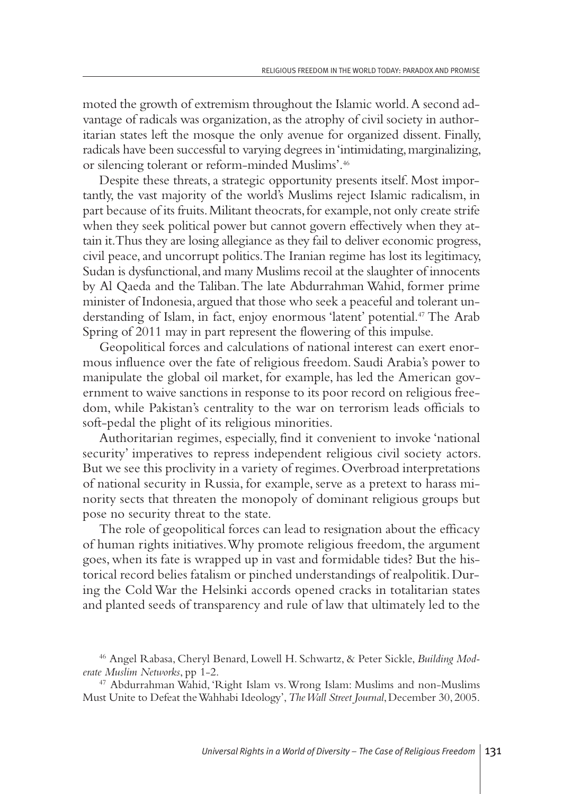moted the growth of extremism throughout the Islamic world.A second advantage of radicals was organization, as the atrophy of civil society in authoritarian states left the mosque the only avenue for organized dissent. Finally, radicals have been successful to varying degrees in'intimidating,marginalizing, or silencing tolerant or reform-minded Muslims'. 46

Despite these threats, a strategic opportunity presents itself. Most importantly, the vast majority of the world's Muslims reject Islamic radicalism, in part because of its fruits.Militant theocrats,for example,not only create strife when they seek political power but cannot govern effectively when they attain it.Thus they are losing allegiance as they fail to deliver economic progress, civil peace,and uncorrupt politics.The Iranian regime has lost its legitimacy, Sudan is dysfunctional, and many Muslims recoil at the slaughter of innocents by Al Qaeda and the Taliban.The late Abdurrahman Wahid, former prime minister of Indonesia, argued that those who seek a peaceful and tolerant understanding of Islam, in fact, enjoy enormous 'latent' potential. <sup>47</sup> The Arab Spring of 2011 may in part represent the flowering of this impulse.

Geopolitical forces and calculations of national interest can exert enormous influence over the fate of religious freedom. Saudi Arabia's power to manipulate the global oil market, for example, has led the American government to waive sanctions in response to its poor record on religious freedom, while Pakistan's centrality to the war on terrorism leads officials to soft-pedal the plight of its religious minorities.

Authoritarian regimes, especially, find it convenient to invoke 'national security' imperatives to repress independent religious civil society actors. But we see this proclivity in a variety of regimes.Overbroad interpretations of national security in Russia, for example, serve as a pretext to harass minority sects that threaten the monopoly of dominant religious groups but pose no security threat to the state.

The role of geopolitical forces can lead to resignation about the efficacy of human rights initiatives.Why promote religious freedom, the argument goes, when its fate is wrapped up in vast and formidable tides? But the historical record belies fatalism or pinched understandings of realpolitik.During the Cold War the Helsinki accords opened cracks in totalitarian states and planted seeds of transparency and rule of law that ultimately led to the

<sup>46</sup> Angel Rabasa, Cheryl Benard, Lowell H. Schwartz, & Peter Sickle, *Building Moderate Muslim Networks*, pp 1-2.

<sup>47</sup> Abdurrahman Wahid, 'Right Islam vs.Wrong Islam: Muslims and non-Muslims Must Unite to Defeat theWahhabi Ideology',*TheWall Street Journal*,December 30, 2005.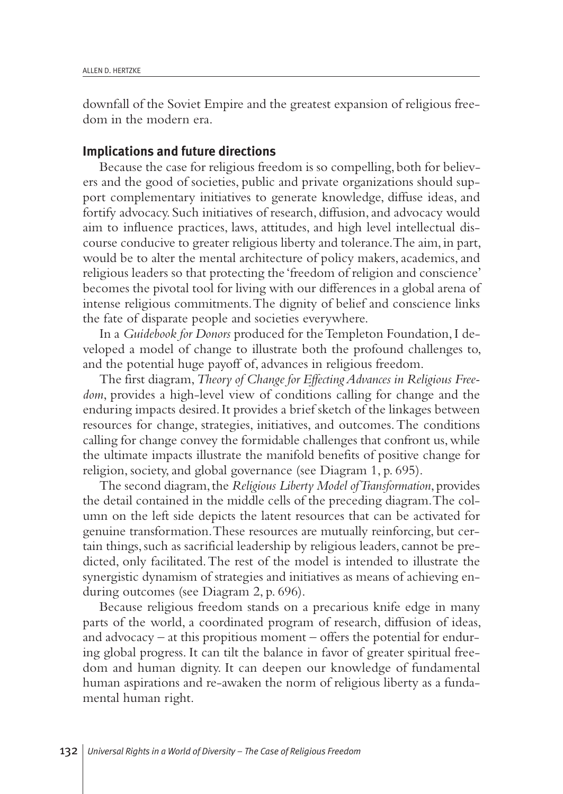downfall of the Soviet Empire and the greatest expansion of religious freedom in the modern era.

#### **Implications and future directions**

Because the case for religious freedom is so compelling, both for believers and the good of societies, public and private organizations should support complementary initiatives to generate knowledge, diffuse ideas, and fortify advocacy. Such initiatives of research, diffusion,and advocacy would aim to influence practices, laws, attitudes, and high level intellectual discourse conducive to greater religious liberty and tolerance.The aim, in part, would be to alter the mental architecture of policy makers, academics, and religious leaders so that protecting the 'freedom of religion and conscience' becomes the pivotal tool for living with our differences in a global arena of intense religious commitments.The dignity of belief and conscience links the fate of disparate people and societies everywhere.

In a *Guidebook for Donors* produced for theTempleton Foundation,I developed a model of change to illustrate both the profound challenges to, and the potential huge payoff of, advances in religious freedom.

The first diagram,*Theory of Change for EffectingAdvances in Religious Freedom*, provides a high-level view of conditions calling for change and the enduring impacts desired.It provides a brief sketch of the linkages between resources for change, strategies, initiatives, and outcomes.The conditions calling for change convey the formidable challenges that confront us, while the ultimate impacts illustrate the manifold benefits of positive change for religion, society,and global governance (see Diagram 1, p. 695).

The second diagram,the *Religious Liberty Model ofTransformation*, provides the detail contained in the middle cells of the preceding diagram.The column on the left side depicts the latent resources that can be activated for genuine transformation.These resources are mutually reinforcing, but certain things, such as sacrificial leadership by religious leaders, cannot be predicted, only facilitated.The rest of the model is intended to illustrate the synergistic dynamism of strategies and initiatives as means of achieving enduring outcomes (see Diagram 2, p. 696).

Because religious freedom stands on a precarious knife edge in many parts of the world, a coordinated program of research, diffusion of ideas, and advocacy – at this propitious moment – offers the potential for enduring global progress. It can tilt the balance in favor of greater spiritual freedom and human dignity. It can deepen our knowledge of fundamental human aspirations and re-awaken the norm of religious liberty as a fundamental human right.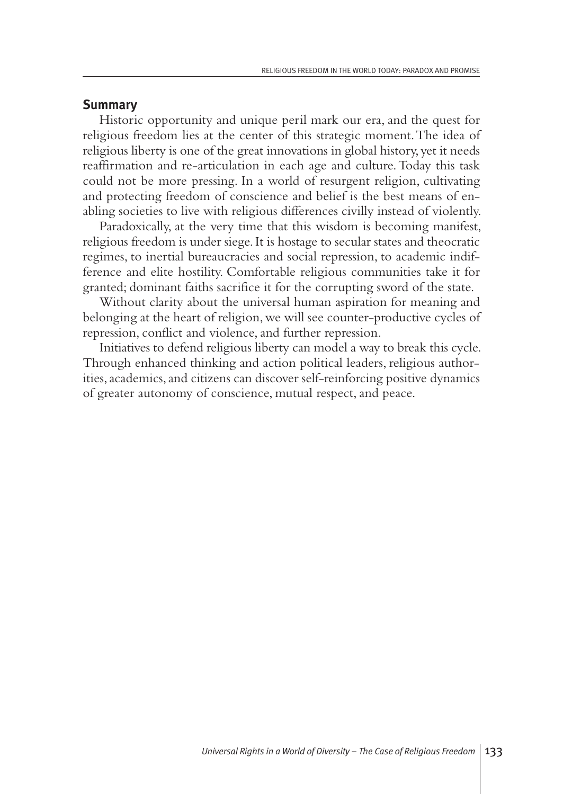#### **Summary**

Historic opportunity and unique peril mark our era, and the quest for religious freedom lies at the center of this strategic moment.The idea of religious liberty is one of the great innovations in global history, yet it needs reaffirmation and re-articulation in each age and culture.Today this task could not be more pressing. In a world of resurgent religion, cultivating and protecting freedom of conscience and belief is the best means of enabling societies to live with religious differences civilly instead of violently.

Paradoxically, at the very time that this wisdom is becoming manifest, religious freedom is under siege.It is hostage to secular states and theocratic regimes, to inertial bureaucracies and social repression, to academic indifference and elite hostility. Comfortable religious communities take it for granted; dominant faiths sacrifice it for the corrupting sword of the state.

Without clarity about the universal human aspiration for meaning and belonging at the heart of religion,we will see counter-productive cycles of repression, conflict and violence, and further repression.

Initiatives to defend religious liberty can model a way to break this cycle. Through enhanced thinking and action political leaders, religious authorities, academics, and citizens can discover self-reinforcing positive dynamics of greater autonomy of conscience, mutual respect,and peace.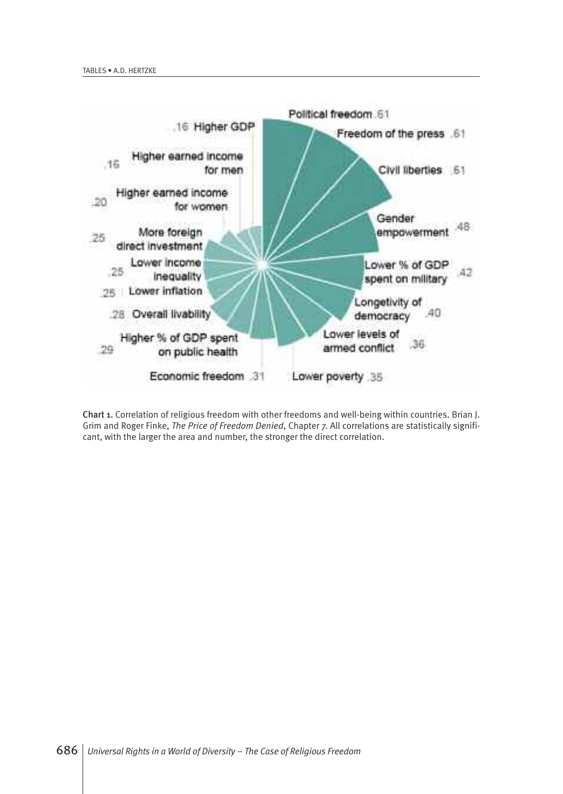

Chart 1. Correlation of religious freedom with other freedoms and well-being within countries. Brian J. Grim and Roger Finke, *The Price of Freedom Denied*, Chapter 7. All correlations are statistically significant, with the larger the area and number, the stronger the direct correlation.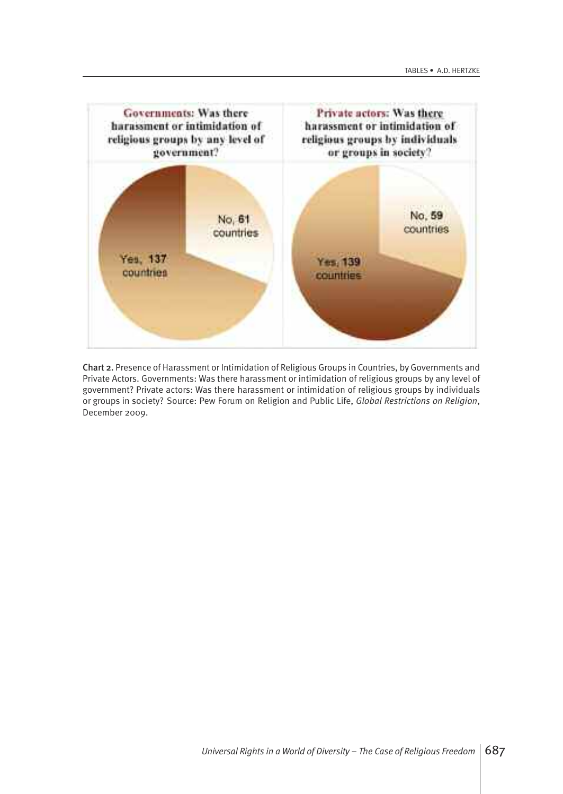

Chart 2. Presence of Harassment or Intimidation of Religious Groups in Countries, by Governments and Private Actors. Governments: Was there harassment or intimidation of religious groups by any level of government? Private actors: Was there harassment or intimidation of religious groups by individuals or groups in society? Source: Pew Forum on Religion and Public Life, *Global Restrictions on Religion*, December 2009.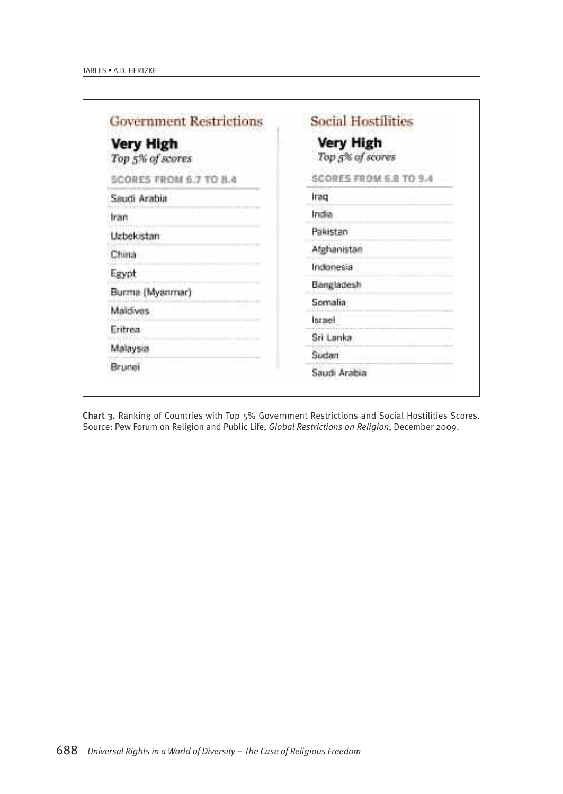| <b>Government Restrictions</b> | <b>Social Hostilities</b><br><b>Very High</b><br>Top 5% of scores |  |
|--------------------------------|-------------------------------------------------------------------|--|
| Very High<br>Top 5% of scores  |                                                                   |  |
| SCORES FROM 6.7 TO 8.4         | SCORES FROM 6.8 TO 9.4                                            |  |
| Saudi Arabia                   | Iraq                                                              |  |
| Iran                           | India                                                             |  |
| <b>Uzbekistan</b>              | Pakistan                                                          |  |
| China                          | Afghanistan                                                       |  |
| Egypt                          | Indonesia                                                         |  |
| Burma (Myanmar)                | Bangladesh                                                        |  |
| Maldives                       | Somalia                                                           |  |
| Eritrea                        | israel.                                                           |  |
|                                | Sri Lanka                                                         |  |
| Malaysia                       | Sudan                                                             |  |
| Brunei                         | Saudi Arabia                                                      |  |

Chart 3. Ranking of Countries with Top 5% Government Restrictions and Social Hostilities Scores. Source: Pew Forum on Religion and Public Life, *Global Restrictions on Religion*, December 2009.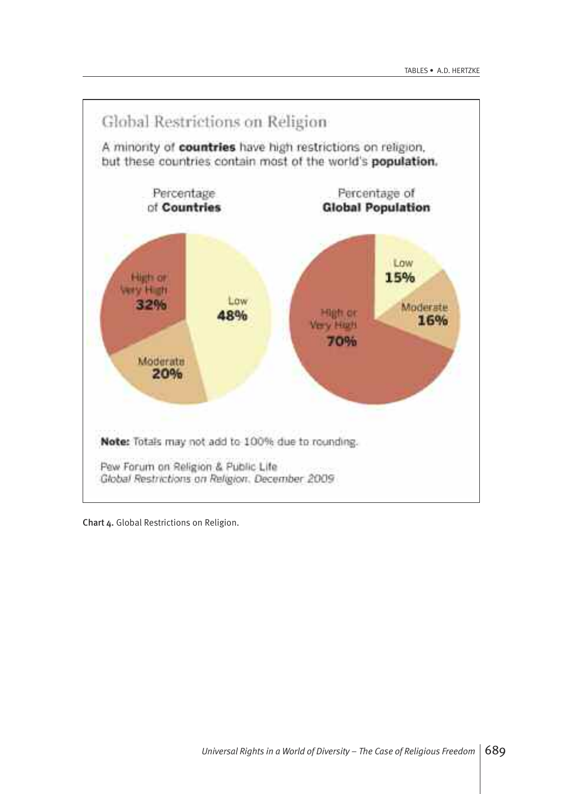

Chart 4. Global Restrictions on Religion.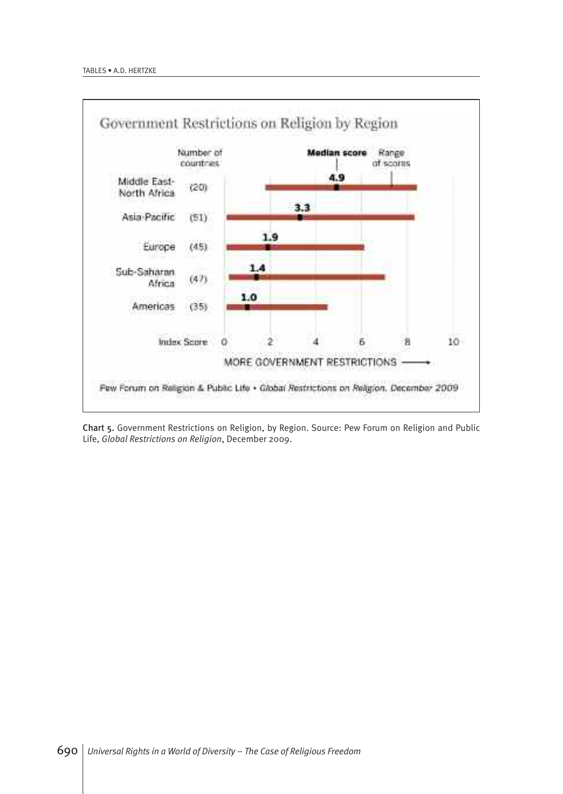

Chart 5. Government Restrictions on Religion, by Region. Source: Pew Forum on Religion and Public Life, *Global Restrictions on Religion*, December 2009.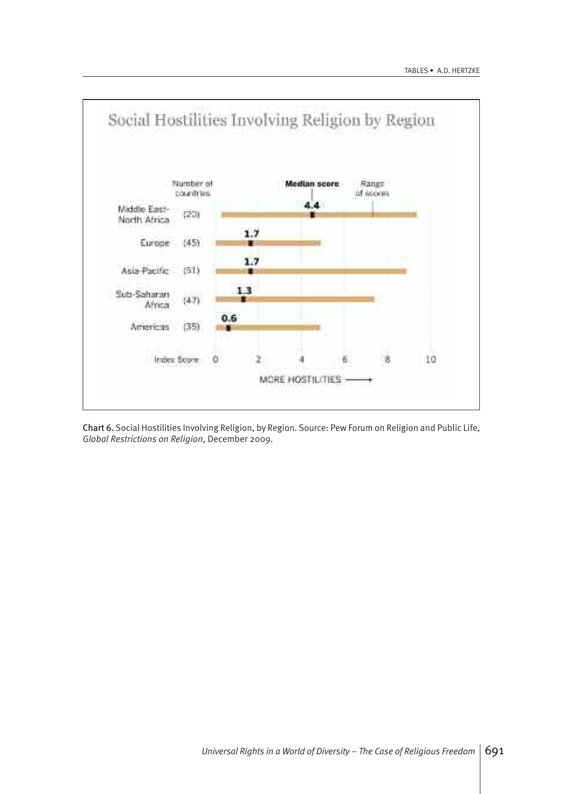

Chart 6. Social Hostilities Involving Religion, by Region. Source: Pew Forum on Religion and Public Life, *Global Restrictions on Religion*, December 2009.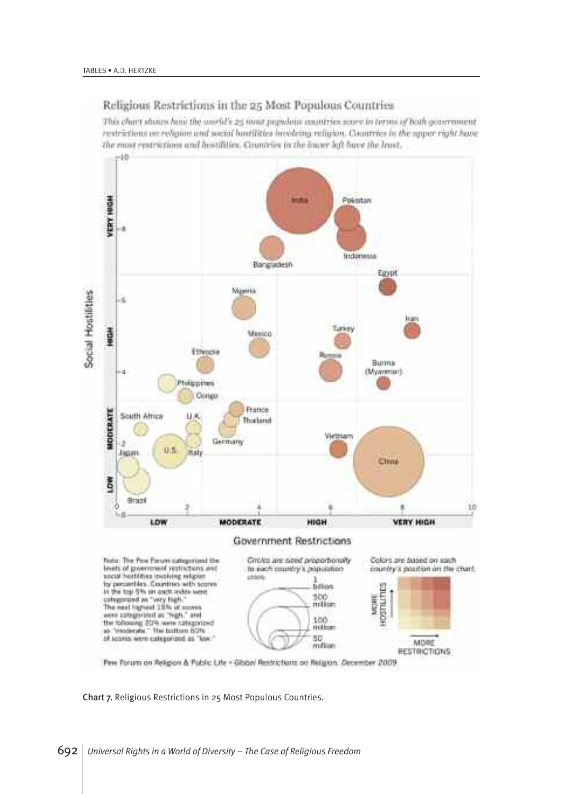#### Religious Restrictions in the 25 Most Populous Countries

This chart shows how the world's 25 most populaus countries soore in terms of both government. restrictions on religion and social hostilities involving religion. Countries in the syger right have the must restrictions and hostilities. Countries in the lower left have the least.



Pew Forum on Religion & Public Life . Global Restrictions on Religion. December 2009

Chart 7. Religious Restrictions in 25 Most Populous Countries.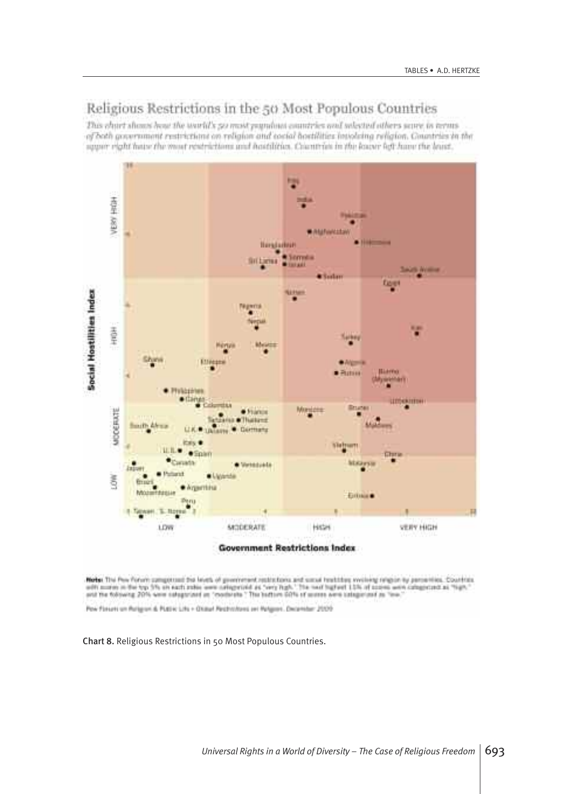### Religious Restrictions in the 50 Most Populous Countries

This chart about least the world's 50 most populant countries and solected others seare in terms of both government restrictions on religion and cocial boetilities involving religion. Countries in the aggair right have the most restrictions and hastilities. Coantrias in the leave left have the least.



**Note:** The flow forum competition the levels of government restrictions and simulations working religion by percentios. Countries<br>with mores in the typ 3% are each index were celepatied as "very high." The next bighest 13

Pow Finsani um Ruligion di PLEEW Life + Okitur! Pedintiforni set Refiguer. December 2009

Chart 8. Religious Restrictions in 50 Most Populous Countries.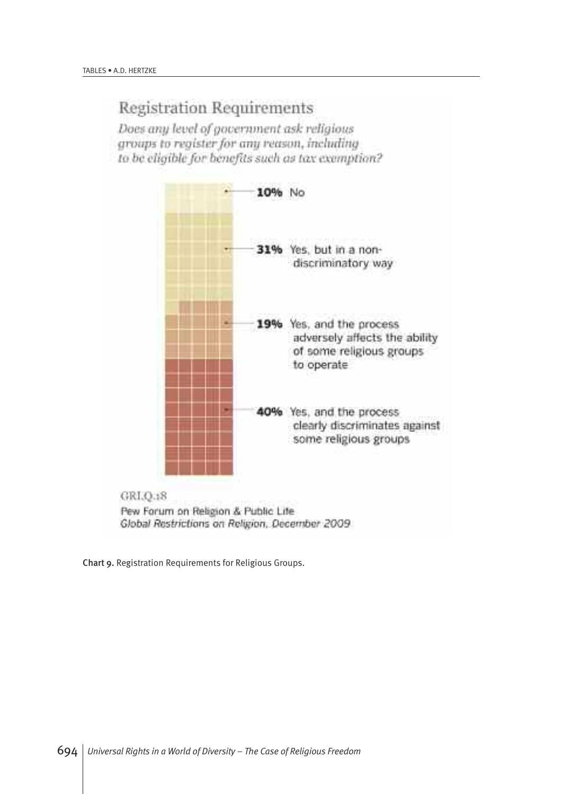## **Registration Requirements**

Does any level of government ask religious groups to register for any reason, including to be cliqible for benefits such as tax exemption?



Global Restrictions on Religion, December 2009

Chart 9. Registration Requirements for Religious Groups.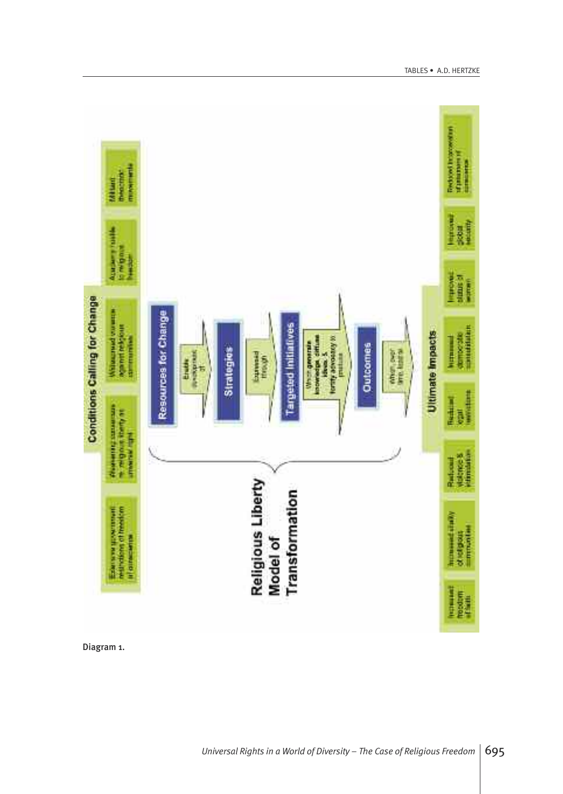

Diagram 1.